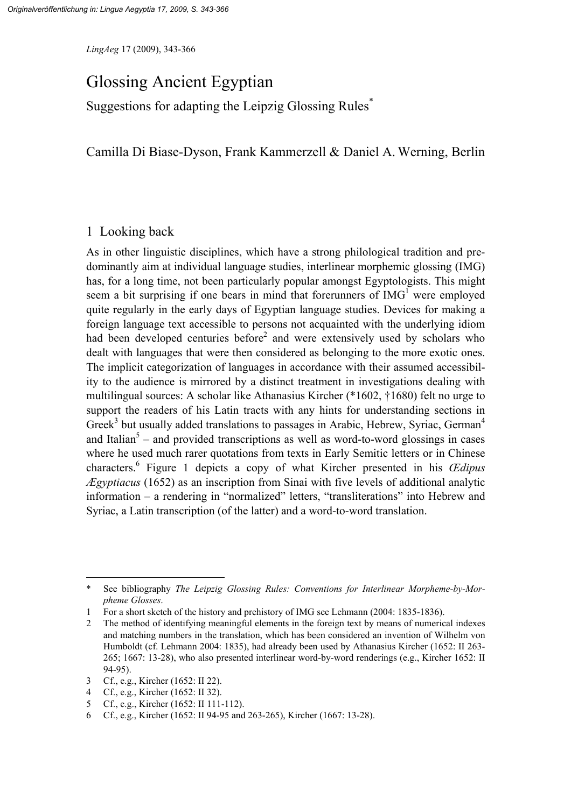*LingAeg* 17 (2009), 343-366

# Glossing Ancient Egyptian

Suggestions for adapting the Leipzig Glossing Rules<sup>\*</sup>

Camilla Di Biase-Dyson, Frank Kammerzell & Daniel A. Werning, Berlin

## 1 Looking back

As in other linguistic disciplines, which have a strong philological tradition and predominantly aim at individual language studies, interlinear morphemic glossing (IMG) has, for a long time, not been particularly popular amongst Egyptologists. This might seem a bit surprising if one bears in mind that forerunners of  $IMG<sup>1</sup>$  were employed quite regularly in the early days of Egyptian language studies. Devices for making a foreign language text accessible to persons not acquainted with the underlying idiom had been developed centuries before<sup>2</sup> and were extensively used by scholars who dealt with languages that were then considered as belonging to the more exotic ones. The implicit categorization of languages in accordance with their assumed accessibility to the audience is mirrored by a distinct treatment in investigations dealing with multilingual sources: A scholar like Athanasius Kircher (\*1602, †1680) felt no urge to support the readers of his Latin tracts with any hints for understanding sections in Greek<sup>3</sup> but usually added translations to passages in Arabic, Hebrew, Syriac, German<sup>4</sup> and Italian<sup>5</sup> – and provided transcriptions as well as word-to-word glossings in cases where he used much rarer quotations from texts in Early Semitic letters or in Chinese characters.6 Figure 1 depicts a copy of what Kircher presented in his *Œdipus Ægyptiacus* (1652) as an inscription from Sinai with five levels of additional analytic information – a rendering in "normalized" letters, "transliterations" into Hebrew and Syriac, a Latin transcription (of the latter) and a word-to-word translation.

<sup>\*</sup> See bibliography *The Leipzig Glossing Rules: Conventions for Interlinear Morpheme-by-Morpheme Glosses*.

<sup>1</sup> For a short sketch of the history and prehistory of IMG see Lehmann (2004: 1835-1836).

<sup>2</sup> The method of identifying meaningful elements in the foreign text by means of numerical indexes and matching numbers in the translation, which has been considered an invention of Wilhelm von Humboldt (cf. Lehmann 2004: 1835), had already been used by Athanasius Kircher (1652: II 263- 265; 1667: 13-28), who also presented interlinear word-by-word renderings (e.g., Kircher 1652: II 94-95).

<sup>3</sup> Cf., e.g., Kircher (1652: II 22).

<sup>4</sup> Cf., e.g., Kircher (1652: II 32).

<sup>5</sup> Cf., e.g., Kircher (1652: II 111-112).

<sup>6</sup> Cf., e.g., Kircher (1652: II 94-95 and 263-265), Kircher (1667: 13-28).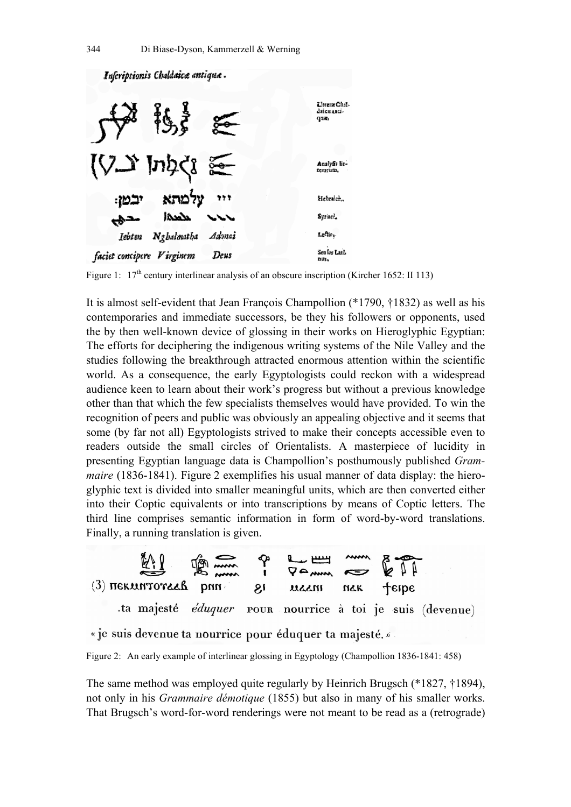

Figure 1:  $17<sup>th</sup>$  century interlinear analysis of an obscure inscription (Kircher 1652: II 113)

It is almost self-evident that Jean François Champollion (\*1790, †1832) as well as his contemporaries and immediate successors, be they his followers or opponents, used the by then well-known device of glossing in their works on Hieroglyphic Egyptian: The efforts for deciphering the indigenous writing systems of the Nile Valley and the studies following the breakthrough attracted enormous attention within the scientific world. As a consequence, the early Egyptologists could reckon with a widespread audience keen to learn about their work's progress but without a previous knowledge other than that which the few specialists themselves would have provided. To win the recognition of peers and public was obviously an appealing objective and it seems that some (by far not all) Egyptologists strived to make their concepts accessible even to readers outside the small circles of Orientalists. A masterpiece of lucidity in presenting Egyptian language data is Champollion's posthumously published *Grammaire* (1836-1841). Figure 2 exemplifies his usual manner of data display: the hieroglyphic text is divided into smaller meaningful units, which are then converted either into their Coptic equivalents or into transcriptions by means of Coptic letters. The third line comprises semantic information in form of word-by-word translations. Finally, a running translation is given.



« je suis devenue ta nourrice pour éduquer ta majesté. »

Figure 2: An early example of interlinear glossing in Egyptology (Champollion 1836-1841: 458)

The same method was employed quite regularly by Heinrich Brugsch (\*1827, †1894), not only in his *Grammaire démotique* (1855) but also in many of his smaller works. That Brugsch's word-for-word renderings were not meant to be read as a (retrograde)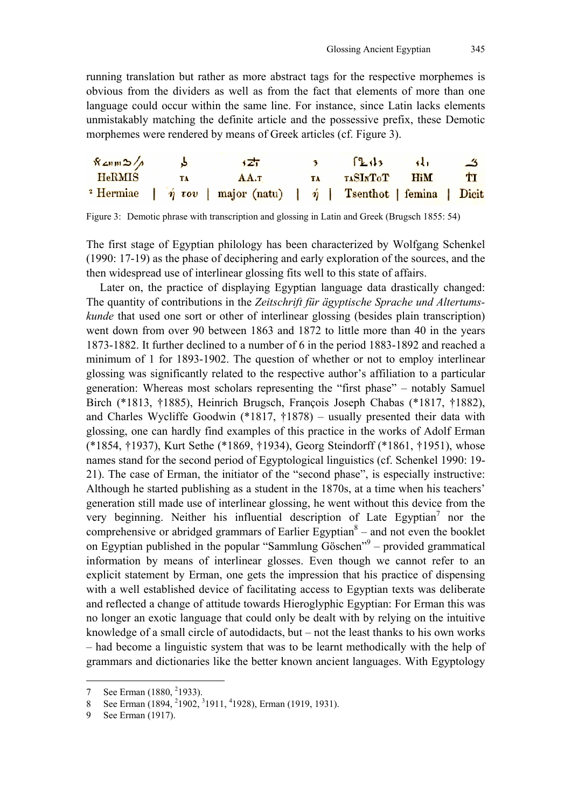running translation but rather as more abstract tags for the respective morphemes is obvious from the dividers as well as from the fact that elements of more than one language could occur within the same line. For instance, since Latin lacks elements unmistakably matching the definite article and the possessive prefix, these Demotic morphemes were rendered by means of Greek articles (cf. Figure 3).

| $\sqrt{x}$ ann $\gg$ / $\land$ |    | $\sqrt{27}$                                                                                 |  | $\lceil 24 \rceil$ | $\overline{41}$ | - ج            |
|--------------------------------|----|---------------------------------------------------------------------------------------------|--|--------------------|-----------------|----------------|
| ${\rm HeRMIS}$                 | ŦА | AA.T                                                                                        |  | TA TASINTOT HIM    |                 | T <sub>I</sub> |
|                                |    | <sup>2</sup> Hermiae   $\eta$ $\tau$ ov   major (natu)   $\eta$   Tsenthot   femina   Dicit |  |                    |                 |                |

Figure 3: Demotic phrase with transcription and glossing in Latin and Greek (Brugsch 1855: 54)

The first stage of Egyptian philology has been characterized by Wolfgang Schenkel (1990: 17-19) as the phase of deciphering and early exploration of the sources, and the then widespread use of interlinear glossing fits well to this state of affairs.

Later on, the practice of displaying Egyptian language data drastically changed: The quantity of contributions in the *Zeitschrift für ägyptische Sprache und Altertumskunde* that used one sort or other of interlinear glossing (besides plain transcription) went down from over 90 between 1863 and 1872 to little more than 40 in the years 1873-1882. It further declined to a number of 6 in the period 1883-1892 and reached a minimum of 1 for 1893-1902. The question of whether or not to employ interlinear glossing was significantly related to the respective author's affiliation to a particular generation: Whereas most scholars representing the "first phase" – notably Samuel Birch (\*1813, †1885), Heinrich Brugsch, François Joseph Chabas (\*1817, †1882), and Charles Wycliffe Goodwin (\*1817, †1878) – usually presented their data with glossing, one can hardly find examples of this practice in the works of Adolf Erman (\*1854, †1937), Kurt Sethe (\*1869, †1934), Georg Steindorff (\*1861, †1951), whose names stand for the second period of Egyptological linguistics (cf. Schenkel 1990: 19- 21). The case of Erman, the initiator of the "second phase", is especially instructive: Although he started publishing as a student in the 1870s, at a time when his teachers' generation still made use of interlinear glossing, he went without this device from the very beginning. Neither his influential description of Late Egyptian<sup>7</sup> nor the comprehensive or abridged grammars of Earlier Egyptian $\delta$  – and not even the booklet on Egyptian published in the popular "Sammlung Göschen" $9$  – provided grammatical information by means of interlinear glosses. Even though we cannot refer to an explicit statement by Erman, one gets the impression that his practice of dispensing with a well established device of facilitating access to Egyptian texts was deliberate and reflected a change of attitude towards Hieroglyphic Egyptian: For Erman this was no longer an exotic language that could only be dealt with by relying on the intuitive knowledge of a small circle of autodidacts, but – not the least thanks to his own works – had become a linguistic system that was to be learnt methodically with the help of grammars and dictionaries like the better known ancient languages. With Egyptology

<sup>7</sup> See Erman (1880, <sup>2</sup>1933).

<sup>8</sup> See Erman (1894, <sup>2</sup>1902, <sup>3</sup>1911, <sup>4</sup>1928), Erman (1919, 1931).

<sup>9</sup> See Erman (1917).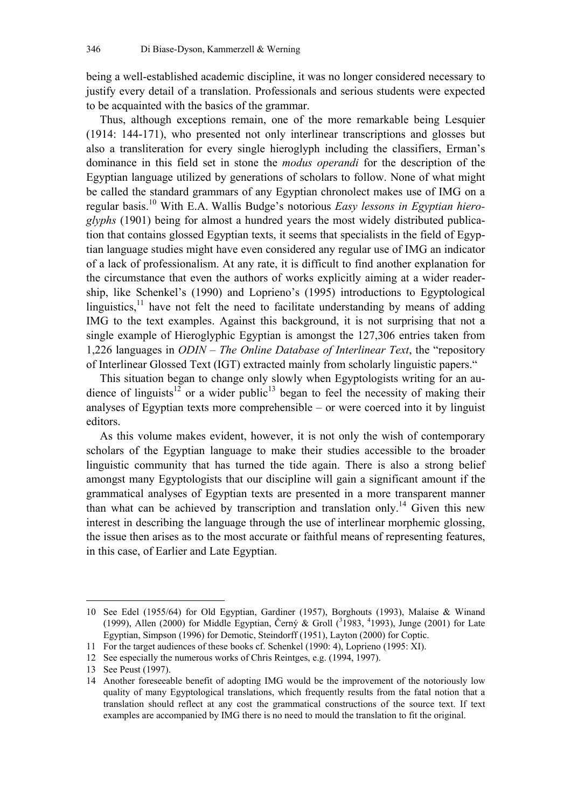being a well-established academic discipline, it was no longer considered necessary to justify every detail of a translation. Professionals and serious students were expected to be acquainted with the basics of the grammar.

Thus, although exceptions remain, one of the more remarkable being Lesquier (1914: 144-171), who presented not only interlinear transcriptions and glosses but also a transliteration for every single hieroglyph including the classifiers, Erman's dominance in this field set in stone the *modus operandi* for the description of the Egyptian language utilized by generations of scholars to follow. None of what might be called the standard grammars of any Egyptian chronolect makes use of IMG on a regular basis.10 With E.A. Wallis Budge's notorious *Easy lessons in Egyptian hieroglyphs* (1901) being for almost a hundred years the most widely distributed publication that contains glossed Egyptian texts, it seems that specialists in the field of Egyptian language studies might have even considered any regular use of IMG an indicator of a lack of professionalism. At any rate, it is difficult to find another explanation for the circumstance that even the authors of works explicitly aiming at a wider readership, like Schenkel's (1990) and Loprieno's (1995) introductions to Egyptological linguistics, $11$  have not felt the need to facilitate understanding by means of adding IMG to the text examples. Against this background, it is not surprising that not a single example of Hieroglyphic Egyptian is amongst the 127,306 entries taken from 1,226 languages in *ODIN – The Online Database of Interlinear Text*, the "repository of Interlinear Glossed Text (IGT) extracted mainly from scholarly linguistic papers."

This situation began to change only slowly when Egyptologists writing for an audience of linguists<sup>12</sup> or a wider public<sup>13</sup> began to feel the necessity of making their analyses of Egyptian texts more comprehensible – or were coerced into it by linguist editors.

As this volume makes evident, however, it is not only the wish of contemporary scholars of the Egyptian language to make their studies accessible to the broader linguistic community that has turned the tide again. There is also a strong belief amongst many Egyptologists that our discipline will gain a significant amount if the grammatical analyses of Egyptian texts are presented in a more transparent manner than what can be achieved by transcription and translation only.<sup>14</sup> Given this new interest in describing the language through the use of interlinear morphemic glossing, the issue then arises as to the most accurate or faithful means of representing features, in this case, of Earlier and Late Egyptian.

<sup>10</sup> See Edel (1955/64) for Old Egyptian, Gardiner (1957), Borghouts (1993), Malaise & Winand (1999), Allen (2000) for Middle Egyptian, Černý & Groll ( $31983$ ,  $41993$ ), Junge (2001) for Late Egyptian, Simpson (1996) for Demotic, Steindorff (1951), Layton (2000) for Coptic.

<sup>11</sup> For the target audiences of these books cf. Schenkel (1990: 4), Loprieno (1995: XI).

<sup>12</sup> See especially the numerous works of Chris Reintges, e.g. (1994, 1997).

<sup>13</sup> See Peust (1997).

<sup>14</sup> Another foreseeable benefit of adopting IMG would be the improvement of the notoriously low quality of many Egyptological translations, which frequently results from the fatal notion that a translation should reflect at any cost the grammatical constructions of the source text. If text examples are accompanied by IMG there is no need to mould the translation to fit the original.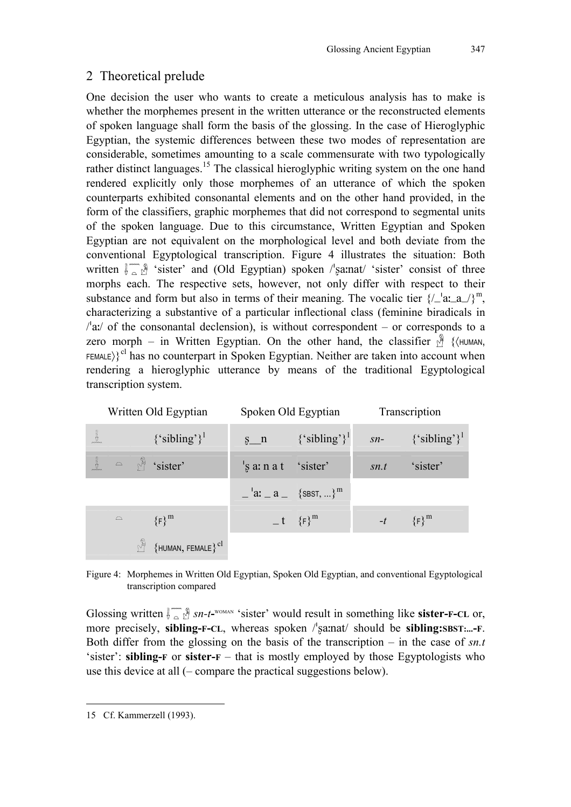## 2 Theoretical prelude

One decision the user who wants to create a meticulous analysis has to make is whether the morphemes present in the written utterance or the reconstructed elements of spoken language shall form the basis of the glossing. In the case of Hieroglyphic Egyptian, the systemic differences between these two modes of representation are considerable, sometimes amounting to a scale commensurate with two typologically rather distinct languages.<sup>15</sup> The classical hieroglyphic writing system on the one hand rendered explicitly only those morphemes of an utterance of which the spoken counterparts exhibited consonantal elements and on the other hand provided, in the form of the classifiers, graphic morphemes that did not correspond to segmental units of the spoken language. Due to this circumstance, Written Egyptian and Spoken Egyptian are not equivalent on the morphological level and both deviate from the conventional Egyptological transcription. Figure 4 illustrates the situation: Both written  $\lim_{n \to \infty} \mathcal{N}$  'sister' and (Old Egyptian) spoken /'samat/ 'sister' consist of three morphs each. The respective sets, however, not only differ with respect to their substance and form but also in terms of their meaning. The vocalic tier  $\frac{1}{a_a}a_a$   $\frac{1}{n}$ , characterizing a substantive of a particular inflectional class (feminine biradicals in  $\alpha$  /a:/ of the consonantal declension), is without correspondent – or corresponds to a zero morph – in Written Egyptian. On the other hand, the classifier  $\sqrt{\frac{3}{2}}$  { $\langle$ HUMAN, FEMALE) ${}^{\text{cl}}$  has no counterpart in Spoken Egyptian. Neither are taken into account when rendering a hieroglyphic utterance by means of the traditional Egyptological transcription system.

|    | Written Old Egyptian |  |                                    |                                                                 | Spoken Old Egyptian          | Transcription |                                |  |
|----|----------------------|--|------------------------------------|-----------------------------------------------------------------|------------------------------|---------------|--------------------------------|--|
| "‼ |                      |  | ${^{\circ}$ sibling'} <sup>1</sup> | $s_n$                                                           | $\{$ 'sibling'} <sup>1</sup> |               | $sn - \{\text{``sibling'}\}^1$ |  |
|    |                      |  | $\sim$ $\frac{M}{M}$ 'sister'      | $\vert$ s a: n a t 'sister'                                     |                              | sn.t          | 'sister'                       |  |
|    |                      |  |                                    | $\begin{bmatrix} a: a \ -a \end{bmatrix}$ {SBST, } <sup>m</sup> |                              |               |                                |  |
|    | $\mathbin{\supset}$  |  | $\{F\}^m$                          |                                                                 | $-t$ $\{F\}^m$               |               | $-t$ $\{F\}^m$                 |  |
|    |                      |  | $\{$ HUMAN, FEMALE $\}^{\rm cl}$   |                                                                 |                              |               |                                |  |

Figure 4: Morphemes in Written Old Egyptian, Spoken Old Egyptian, and conventional Egyptological transcription compared

Glossing written  $\int_{-\infty}^{\infty} \mathcal{L} \cdot d\mathbf{r}$  is ster' would result in something like **sister-F-CL** or, more precisely, **sibling-F-CL**, whereas spoken /sanat/ should be **sibling:SBST:...-F**. Both differ from the glossing on the basis of the transcription – in the case of *sn.t* 'sister': **sibling-F** or **sister-F** – that is mostly employed by those Egyptologists who use this device at all (– compare the practical suggestions below).

<sup>15</sup> Cf. Kammerzell (1993).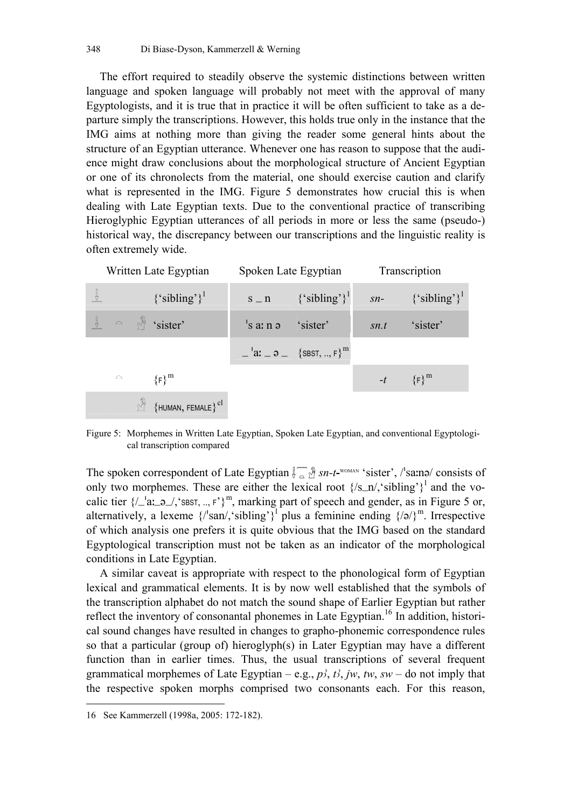The effort required to steadily observe the systemic distinctions between written language and spoken language will probably not meet with the approval of many Egyptologists, and it is true that in practice it will be often sufficient to take as a departure simply the transcriptions. However, this holds true only in the instance that the IMG aims at nothing more than giving the reader some general hints about the structure of an Egyptian utterance. Whenever one has reason to suppose that the audience might draw conclusions about the morphological structure of Ancient Egyptian or one of its chronolects from the material, one should exercise caution and clarify what is represented in the IMG. Figure 5 demonstrates how crucial this is when dealing with Late Egyptian texts. Due to the conventional practice of transcribing Hieroglyphic Egyptian utterances of all periods in more or less the same (pseudo-) historical way, the discrepancy between our transcriptions and the linguistic reality is often extremely wide.

| Written Late Egyptian |  |                                             |                                | Spoken Late Egyptian                                                     | Transcription |                                                                |  |
|-----------------------|--|---------------------------------------------|--------------------------------|--------------------------------------------------------------------------|---------------|----------------------------------------------------------------|--|
|                       |  | $\{$ 'sibling'} <sup>1</sup>                |                                |                                                                          |               | $s_n = \{ \text{'sibling} \}^1$ $sn = \{ \text{'sibling} \}^1$ |  |
|                       |  | $\therefore$ $\infty$ $\mathbb{R}$ 'sister' | 's $a: n \rightarrow$ 'sister' |                                                                          | sn.t          | 'sister'                                                       |  |
|                       |  |                                             |                                | $\begin{bmatrix} 2 & 3 \\ -1 & 3 \end{bmatrix}$ {SBST, , F} <sup>m</sup> |               |                                                                |  |
| $\supseteq$           |  | ${F}^m$                                     |                                |                                                                          |               | $-t$ $\{F\}^m$                                                 |  |
|                       |  | ${HUMAN, FEMALE}^{cl}$                      |                                |                                                                          |               |                                                                |  |

Figure 5: Morphemes in Written Late Egyptian, Spoken Late Egyptian, and conventional Egyptological transcription compared

The spoken correspondent of Late Egyptian  $\int_{-\infty}^{\infty} \mathcal{A}$  sn-t-<sup>WOMAN</sup> 'sister', /'sama/ consists of only two morphemes. These are either the lexical root  $\frac{{\sqrt{S_{n}}_1}^2}{2}$  and the vocalic tier  $\{-a_{n-1}, a_{n-2}, s_{\text{BST}, n}, r\}^m$ , marking part of speech and gender, as in Figure 5 or, alternatively, a lexeme  $\{l'san/$ , sibling' $\}^1$  plus a feminine ending  $\{A\}^m$ . Irrespective of which analysis one prefers it is quite obvious that the IMG based on the standard Egyptological transcription must not be taken as an indicator of the morphological conditions in Late Egyptian.

A similar caveat is appropriate with respect to the phonological form of Egyptian lexical and grammatical elements. It is by now well established that the symbols of the transcription alphabet do not match the sound shape of Earlier Egyptian but rather reflect the inventory of consonantal phonemes in Late Egyptian.<sup>16</sup> In addition, historical sound changes have resulted in changes to grapho-phonemic correspondence rules so that a particular (group of) hieroglyph(s) in Later Egyptian may have a different function than in earlier times. Thus, the usual transcriptions of several frequent grammatical morphemes of Late Egyptian – e.g.,  $p^2$ ,  $t^2$ , *jw*,  $tw$ ,  $sw$  – do not imply that the respective spoken morphs comprised two consonants each. For this reason,

<sup>16</sup> See Kammerzell (1998a, 2005: 172-182).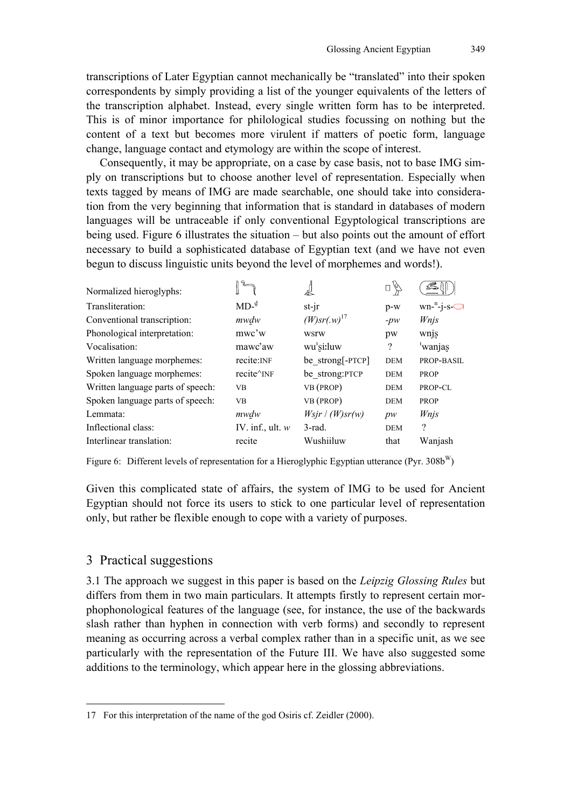transcriptions of Later Egyptian cannot mechanically be "translated" into their spoken correspondents by simply providing a list of the younger equivalents of the letters of the transcription alphabet. Instead, every single written form has to be interpreted. This is of minor importance for philological studies focussing on nothing but the content of a text but becomes more virulent if matters of poetic form, language change, language contact and etymology are within the scope of interest.

Consequently, it may be appropriate, on a case by case basis, not to base IMG simply on transcriptions but to choose another level of representation. Especially when texts tagged by means of IMG are made searchable, one should take into consideration from the very beginning that information that is standard in databases of modern languages will be untraceable if only conventional Egyptological transcriptions are being used. Figure 6 illustrates the situation – but also points out the amount of effort necessary to build a sophisticated database of Egyptian text (and we have not even begun to discuss linguistic units beyond the level of morphemes and words!).

| Normalized hieroglyphs:           |                        | 晸                            |                          | ß<br>mmm                   |
|-----------------------------------|------------------------|------------------------------|--------------------------|----------------------------|
| Transliteration:                  | $MD-$ <sup>d</sup>     | st-jr                        | $p-w$                    | $wn^{-n}$ -j-s- $\bigcirc$ |
| Conventional transcription:       | mwdw                   | $(W)$ sr $(w)$ <sup>17</sup> | $-pw$                    | Wnjs                       |
| Phonological interpretation:      | mwc'w                  | wsrw                         | pw                       | wnjs                       |
| Vocalisation:                     | mawc'aw                | wu'si:luw                    | $\overline{\mathcal{L}}$ | 'wanjas                    |
| Written language morphemes:       | recite: INF            | be strong[-PTCP]             | <b>DEM</b>               | PROP-BASIL                 |
| Spoken language morphemes:        | recite^ <sub>INF</sub> | be strong:PTCP               | <b>DEM</b>               | <b>PROP</b>                |
| Written language parts of speech: | <b>VB</b>              | VB (PROP)                    | <b>DEM</b>               | PROP-CL                    |
| Spoken language parts of speech:  | <b>VB</b>              | VB (PROP)                    | <b>DEM</b>               | <b>PROP</b>                |
| Lemmata:                          | mwdw                   | $W$ sjr / (W)sr(w)           | pw                       | Wnjs                       |
| Inflectional class:               | IV. inf., ult. $w$     | $3$ -rad.                    | <b>DEM</b>               | ?                          |
| Interlinear translation:          | recite                 | Wushiiluw                    | that                     | Wanjash                    |

Figure 6: Different levels of representation for a Hieroglyphic Egyptian utterance (Pyr.  $308b^{W}$ )

Given this complicated state of affairs, the system of IMG to be used for Ancient Egyptian should not force its users to stick to one particular level of representation only, but rather be flexible enough to cope with a variety of purposes.

#### 3 Practical suggestions

 $\overline{a}$ 

3.1 The approach we suggest in this paper is based on the *Leipzig Glossing Rules* but differs from them in two main particulars. It attempts firstly to represent certain morphophonological features of the language (see, for instance, the use of the backwards slash rather than hyphen in connection with verb forms) and secondly to represent meaning as occurring across a verbal complex rather than in a specific unit, as we see particularly with the representation of the Future III. We have also suggested some additions to the terminology, which appear here in the glossing abbreviations.

<sup>17</sup> For this interpretation of the name of the god Osiris cf. Zeidler (2000).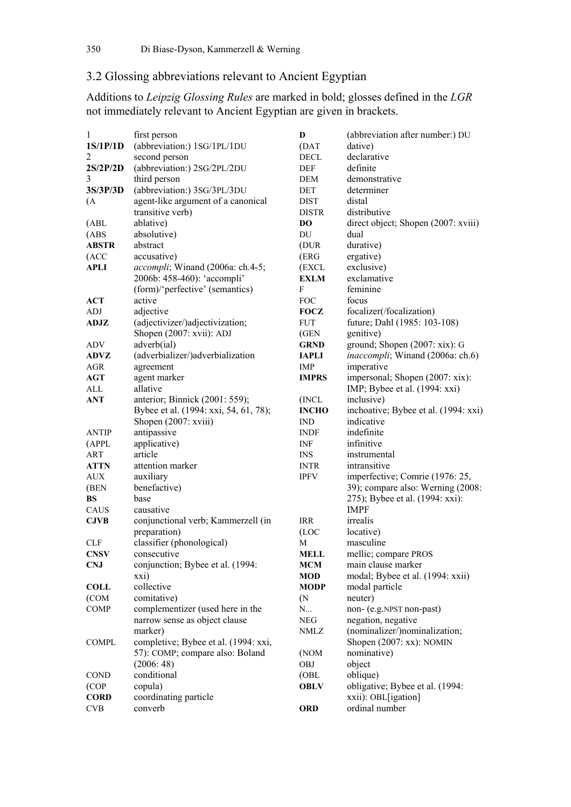## 3.2 Glossing abbreviations relevant to Ancient Egyptian

Additions to *Leipzig Glossing Rules* are marked in bold; glosses defined in the *LGR*  not immediately relevant to Ancient Egyptian are given in brackets.

| $\mathbf{1}$   | first person                          | D                 | (abbreviation after number:) DU          |
|----------------|---------------------------------------|-------------------|------------------------------------------|
| 1S/1P/1D       | (abbreviation:) 1SG/1PL/1DU           | (DAT              | dative)                                  |
| $\overline{2}$ | second person                         | <b>DECL</b>       | declarative                              |
| 2S/2P/2D       | (abbreviation:) 2SG/2PL/2DU           | DEF               | definite                                 |
| 3              | third person                          | <b>DEM</b>        | demonstrative                            |
| 3S/3P/3D       | (abbreviation:) 3SG/3PL/3DU           | DET               | determiner                               |
| (A)            | agent-like argument of a canonical    | <b>DIST</b>       | distal                                   |
|                | transitive verb)                      | <b>DISTR</b>      | distributive                             |
| (ABL)          | ablative)                             | D <sub>O</sub>    | direct object; Shopen (2007: xviii)      |
| (ABS)          | absolutive)                           | DU                | dual                                     |
| <b>ABSTR</b>   | abstract                              | (DUR              | durative)                                |
| (ACC           | accusative)                           | (ERG              | ergative)                                |
| <b>APLI</b>    | accompli; Winand (2006a: ch.4-5;      | (EXCL             | exclusive)                               |
|                | 2006b: 458-460): 'accompli'           | <b>EXLM</b>       | exclamative                              |
|                | (form)/'perfective' (semantics)       | ${\bf F}$         | feminine                                 |
| <b>ACT</b>     | active                                | <b>FOC</b>        | focus                                    |
| <b>ADJ</b>     | adjective                             | <b>FOCZ</b>       | focalizer(/focalization)                 |
| ADJZ           | (adjectivizer/)adjectivization;       | <b>FUT</b>        | future; Dahl (1985: 103-108)             |
|                | Shopen (2007: xvii): ADJ              | (GEN              | genitive)                                |
| ADV            | adverb(ial)                           | <b>GRND</b>       | ground; Shopen (2007: xix): G            |
| <b>ADVZ</b>    | (adverbializer/)adverbialization      | <b>IAPLI</b>      | <i>inaccompli</i> ; Winand (2006a: ch.6) |
| AGR            | agreement                             | <b>IMP</b>        | imperative                               |
| <b>AGT</b>     | agent marker                          | <b>IMPRS</b>      | impersonal; Shopen (2007: xix):          |
| ALL            | allative                              |                   | IMP; Bybee et al. (1994: xxi)            |
| <b>ANT</b>     | anterior; Binnick (2001: 559);        | (INCL)            | inclusive)                               |
|                | Bybee et al. (1994: xxi, 54, 61, 78); | <b>INCHO</b>      | inchoative; Bybee et al. (1994: xxi)     |
|                | Shopen (2007: xviii)                  | <b>IND</b>        | indicative                               |
| <b>ANTIP</b>   | antipassive                           | <b>INDF</b>       | indefinite                               |
| (APPL          | applicative)                          | <b>INF</b>        | infinitive                               |
| ART            | article                               | <b>INS</b>        | instrumental                             |
| <b>ATTN</b>    | attention marker                      | <b>INTR</b>       | intransitive                             |
| <b>AUX</b>     | auxiliary                             | <b>IPFV</b>       | imperfective; Comrie (1976: 25,          |
| (BEN           | benefactive)                          |                   | 39); compare also: Werning (2008:        |
| <b>BS</b>      | base                                  |                   | 275); Bybee et al. (1994: xxi):          |
| CAUS           | causative                             |                   | <b>IMPF</b>                              |
| <b>CJVB</b>    | conjunctional verb; Kammerzell (in    | <b>IRR</b>        | irrealis                                 |
|                | preparation)                          | (LOC              | locative)                                |
| <b>CLF</b>     | classifier (phonological)             | M                 | masculine                                |
| <b>CNSV</b>    | consecutive                           | <b>MELL</b>       | mellic; compare PROS                     |
| <b>CNJ</b>     | conjunction; Bybee et al. (1994:      | <b>MCM</b>        | main clause marker                       |
|                | xxi)                                  | <b>MOD</b>        | modal; Bybee et al. (1994: xxii)         |
| <b>COLL</b>    | collective                            | <b>MODP</b>       | modal particle                           |
| (COM           | comitative)                           | (N <sup>2</sup> ) | neuter)                                  |
| <b>COMP</b>    | complementizer (used here in the      | N                 | non- (e.g.NPST non-past)                 |
|                | narrow sense as object clause         | ${\rm NEG}$       | negation, negative                       |
|                | marker)                               | NMLZ              | (nominalizer/)nominalization;            |
| <b>COMPL</b>   | completive; Bybee et al. (1994: xxi,  |                   | Shopen (2007: xx): NOMIN                 |
|                | 57): COMP; compare also: Boland       | (NOM              | nominative)                              |
|                | (2006:48)                             | OBJ               | object                                   |
| <b>COND</b>    | conditional                           | (OBL              | oblique)                                 |
| (COP           | copula)                               | <b>OBLV</b>       | obligative; Bybee et al. (1994:          |
| <b>CORD</b>    | coordinating particle                 |                   | xxii): OBL[igation]                      |
| CVB            | converb                               | <b>ORD</b>        | ordinal number                           |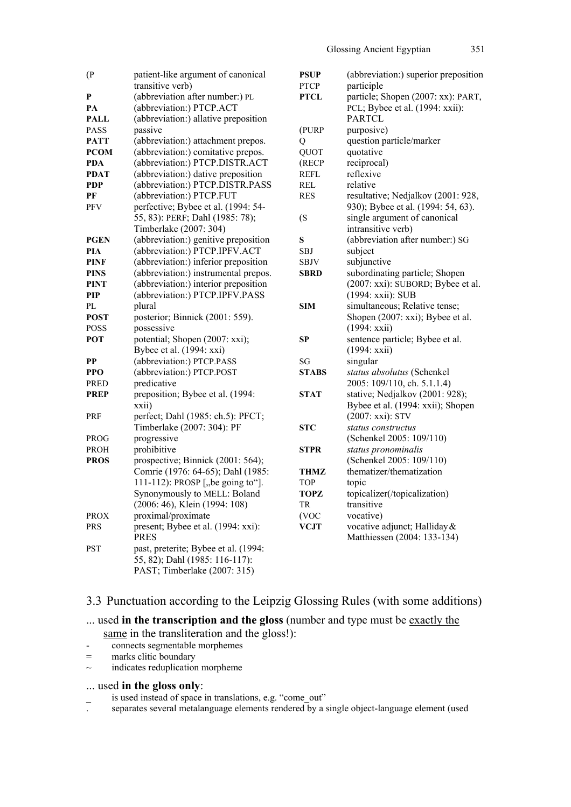|          |                   | i |
|----------|-------------------|---|
| ۰.<br>۰, | I<br>I<br>×<br>۰. |   |

| (P)         | patient-like argument of canonical   | <b>PS</b>      |
|-------------|--------------------------------------|----------------|
|             | transitive verb)                     | P <sub>1</sub> |
| P           | (abbreviation after number:) PL      | P <sub>1</sub> |
| PA          | (abbreviation:) PTCP.ACT             |                |
| <b>PALL</b> | (abbreviation:) allative preposition |                |
| <b>PASS</b> | passive                              | $($ P          |
| <b>PATT</b> | (abbreviation:) attachment prepos.   | Q              |
| <b>PCOM</b> | (abbreviation:) comitative prepos.   | Q              |
| <b>PDA</b>  | (abbreviation:) PTCP.DISTR.ACT       | (R             |
| <b>PDAT</b> | (abbreviation:) dative preposition   | <b>RI</b>      |
| <b>PDP</b>  | (abbreviation:) PTCP.DISTR.PASS      | RI             |
| PF          | (abbreviation:) PTCP.FUT             | RI             |
| <b>PFV</b>  | perfective; Bybee et al. (1994: 54-  |                |
|             | 55, 83): PERF; Dahl (1985: 78);      | (S             |
|             | Timberlake (2007: 304)               |                |
| <b>PGEN</b> | (abbreviation:) genitive preposition | S              |
| PIA         | (abbreviation:) PTCP.IPFV.ACT        | <b>SE</b>      |
| <b>PINF</b> | (abbreviation:) inferior preposition | SE             |
| PINS        | (abbreviation:) instrumental prepos. | <b>SE</b>      |
| PINT        | (abbreviation:) interior preposition |                |
| PIP         | (abbreviation:) PTCP.IPFV.PASS       |                |
| PL          | plural                               | SI             |
| <b>POST</b> | posterior; Binnick (2001: 559).      |                |
| <b>POSS</b> | possessive                           |                |
| POT         | potential; Shopen (2007: xxi);       | <b>SF</b>      |
|             | Bybee et al. (1994: xxi)             |                |
| PP          | (abbreviation:) PTCP.PASS            | SC             |
| <b>PPO</b>  | (abbreviation:) PTCP.POST            | S <sub>1</sub> |
| PRED        | predicative                          |                |
| <b>PREP</b> | preposition; Bybee et al. (1994:     | ST.            |
|             | xxii)                                |                |
| <b>PRF</b>  | perfect; Dahl (1985: ch.5): PFCT;    |                |
|             | Timberlake (2007: 304): PF           | S <sub>1</sub> |
| PROG        | progressive                          |                |
| <b>PROH</b> | prohibitive                          | S <sub>1</sub> |
| <b>PROS</b> | prospective; Binnick (2001: 564);    |                |
|             | Comrie (1976: 64-65); Dahl (1985:    | TI             |
|             | 111-112): PROSP ["be going to"].     | T(             |
|             | Synonymously to MELL: Boland         | T <sub>(</sub> |
|             | (2006: 46), Klein (1994: 108)        | ΤF             |
| <b>PROX</b> | proximal/proximate                   | (V             |
| <b>PRS</b>  | present; Bybee et al. (1994: xxi):   | V(             |
|             | <b>PRES</b>                          |                |
| PST         | past, preterite; Bybee et al. (1994: |                |
|             | 55, 82); Dahl (1985: 116-117):       |                |
|             | PAST; Timberlake (2007: 315)         |                |
|             |                                      |                |

| <b>PSUP</b>  | (abbreviation:) superior preposition |
|--------------|--------------------------------------|
| <b>PTCP</b>  | participle                           |
| PTCL         | particle; Shopen (2007: xx): PART,   |
|              | PCL; Bybee et al. (1994: xxii):      |
|              | <b>PARTCL</b>                        |
| (PURP        | purposive)                           |
| О            | question particle/marker             |
| QUOT         | quotative                            |
| (RECP        | reciprocal)                          |
| <b>REFL</b>  | reflexive                            |
| <b>REL</b>   | relative                             |
| <b>RES</b>   | resultative; Nedjalkov (2001: 928,   |
|              | 930); Bybee et al. (1994: 54, 63).   |
| (S           | single argument of canonical         |
|              | intransitive verb)                   |
| S            | (abbreviation after number:) SG      |
| SBJ          | subject                              |
| SBJV         | subjunctive                          |
| SBRD         | subordinating particle; Shopen       |
|              | (2007: xxi): SUBORD; Bybee et al.    |
|              | (1994: xxii): SUB                    |
| <b>SIM</b>   | simultaneous; Relative tense;        |
|              | Shopen (2007: xxi); Bybee et al.     |
|              | (1994: xxii)                         |
| <b>SP</b>    | sentence particle; Bybee et al.      |
|              | (1994: xxii)                         |
| SG           | singular                             |
| <b>STABS</b> | status absolutus (Schenkel           |
|              | 2005: 109/110, ch. 5.1.1.4)          |
| STAT         | stative; Nedjalkov (2001: 928);      |
|              | Bybee et al. (1994: xxii); Shopen    |
|              | (2007: xxi): STV                     |
| <b>STC</b>   | status constructus                   |
|              | (Schenkel 2005: 109/110)             |
| STPR         | status pronominalis                  |
|              | (Schenkel 2005: 109/110)             |
| <b>THMZ</b>  | thematizer/thematization             |
| <b>TOP</b>   | topic                                |
| TOPZ         | topicalizer(/topicalization)         |
| <b>TR</b>    | transitive                           |
| (VOC         | vocative)                            |
| <b>VCJT</b>  | vocative adjunct; Halliday &         |
|              | Matthiessen (2004: 133-134)          |
|              |                                      |

## 3.3 Punctuation according to the Leipzig Glossing Rules (with some additions)

... used **in the transcription and the gloss** (number and type must be exactly the

same in the transliteration and the gloss!):

- connects segmentable morphemes
- = marks clitic boundary
- $\sim$  indicates reduplication morpheme

#### ... used **in the gloss only**:

- is used instead of space in translations, e.g. "come\_out"
- . separates several metalanguage elements rendered by a single object-language element (used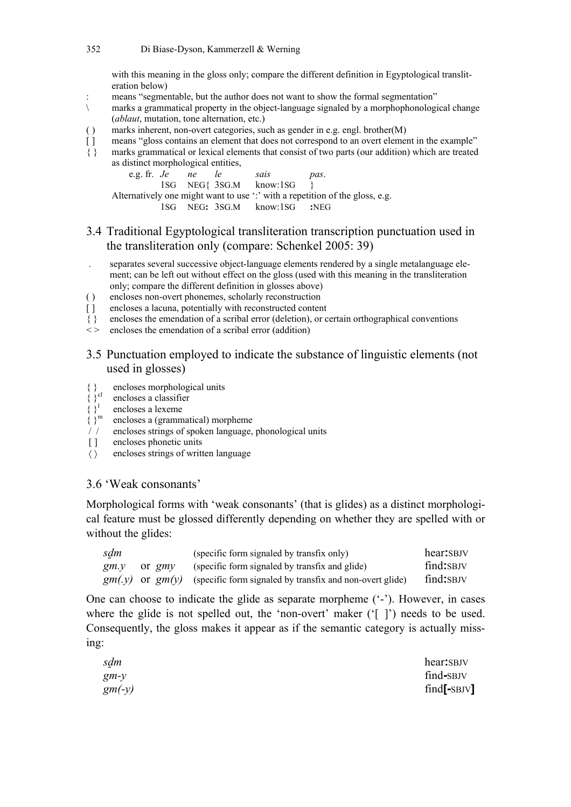with this meaning in the gloss only; compare the different definition in Egyptological transliteration below)

- : means "segmentable, but the author does not want to show the formal segmentation"
- \ marks a grammatical property in the object-language signaled by a morphophonological change (*ablaut*, mutation, tone alternation, etc.)
- ( ) marks inherent, non-overt categories, such as gender in e.g. engl. brother(M)
- [ ] means "gloss contains an element that does not correspond to an overt element in the example"
- { } marks grammatical or lexical elements that consist of two parts (our addition) which are treated as distinct morphological entities,

e.g. fr. *Je ne le sais pas*. 1SG NEG{ 3SG.M know:1SG } Alternatively one might want to use ": " with a repetition of the gloss, e.g. 1SG NEG**:** 3SG.M know:1SG **:**NEG

## 3.4 Traditional Egyptological transliteration transcription punctuation used in the transliteration only (compare: Schenkel 2005: 39)

- . separates several successive object-language elements rendered by a single metalanguage element; can be left out without effect on the gloss (used with this meaning in the transliteration only; compare the different definition in glosses above)
- ( ) encloses non-overt phonemes, scholarly reconstruction
- [] encloses a lacuna, potentially with reconstructed content
- { } encloses the emendation of a scribal error (deletion), or certain orthographical conventions
- $\leq$  encloses the emendation of a scribal error (addition)

### 3.5 Punctuation employed to indicate the substance of linguistic elements (not used in glosses)

- { $}$  encloses morphological units<br>{ $}$ <sup>cl</sup> encloses a classifier
	- encloses a classifier
- encloses a lexeme
- $\left\{\begin{array}{c} \stackrel{1}{\stackrel{1}{\stackrel{1}{\stackrel{1}{\stackrel{1}{\stackrel{1}{\stackrel{1}{\stackrel{1}{\stackrel{1}{\stackrel{1}{\stackrel{1}{\stackrel{1}{\stackrel{1}{\stackrel{1}{\stackrel{1}{\stackrel{1}{\stackrel{1}{\stackrel{1}{\stackrel{1}{\stackrel{1}{\stackrel{1}{\stackrel{1}{\stackrel{1}{\stackrel{1}{\stackrel{1}{\stackrel{1}{\stackrel{1}{\stackrel{1}{\stackrel{1}{\stackrel{1}{\stackrel{1}{\stackrel{1}{\stackrel{1}{\stackrel{1}{\stackrel{1}{$ { }m encloses a (grammatical) morpheme
- / / encloses strings of spoken language, phonological units
- [] encloses phonetic units
- 〈 〉 encloses strings of written language

#### 3.6 'Weak consonants'

Morphological forms with 'weak consonants' (that is glides) as a distinct morphological feature must be glossed differently depending on whether they are spelled with or without the glides:

| sdm  |          | (specific form signaled by transfix only)                                   | hear: SBJV |
|------|----------|-----------------------------------------------------------------------------|------------|
| gm.y | or $gmv$ | (specific form signaled by transfix and glide)                              | find: SBJV |
|      |          | $gm(y)$ or $gm(y)$ (specific form signaled by transfix and non-overt glide) | find: SBJV |

One can choose to indicate the glide as separate morpheme ('-'). However, in cases where the glide is not spelled out, the 'non-overt' maker ('[ ]') needs to be used. Consequently, the gloss makes it appear as if the semantic category is actually missing:

| sdm      | hear: SBJV    |
|----------|---------------|
| $gm-y$   | find-SBJV     |
| $gm(-y)$ | $find[-SBJV]$ |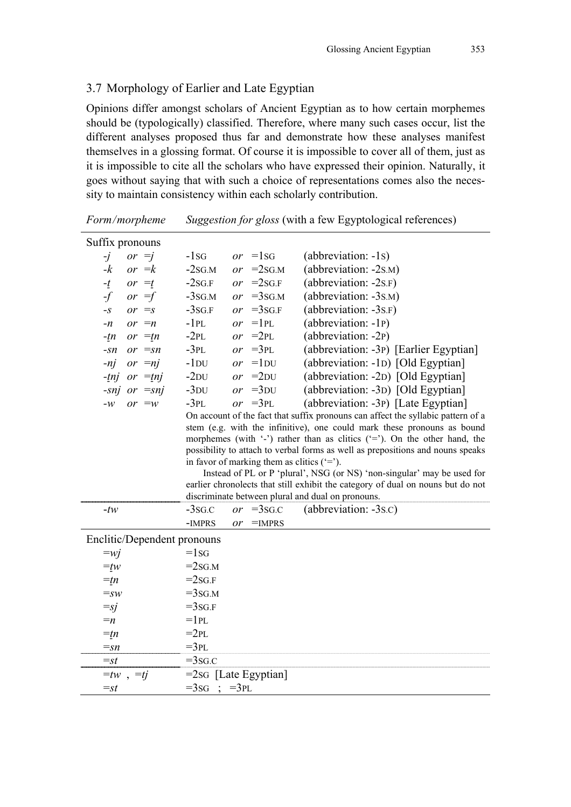## 3.7 Morphology of Earlier and Late Egyptian

Opinions differ amongst scholars of Ancient Egyptian as to how certain morphemes should be (typologically) classified. Therefore, where many such cases occur, list the different analyses proposed thus far and demonstrate how these analyses manifest themselves in a glossing format. Of course it is impossible to cover all of them, just as it is impossible to cite all the scholars who have expressed their opinion. Naturally, it goes without saying that with such a choice of representations comes also the necessity to maintain consistency within each scholarly contribution.

|           | Suffix pronouns             |                         |                 |                                             |                                                                                  |
|-----------|-----------------------------|-------------------------|-----------------|---------------------------------------------|----------------------------------------------------------------------------------|
| $\cdot j$ | or $=$ j                    | $-1$ SG                 |                 | or $=1$ sG                                  | (abbreviation: -1s)                                                              |
| $-k$      | or $=k$                     | $-2SG.M$                | or              | $=2$ SG.M                                   | (abbreviation: -2s.M)                                                            |
| $-t$      | or $=t$                     | $-2SG.F$                | or              | $=2$ SG.F                                   | (abbreviation: $-2s.F$ )                                                         |
| $-f$      | or $=$ f                    | $-3$ SG.M               |                 | or $=3$ SG.M                                | (abbreviation: -3s.M)                                                            |
| $-S$      | or $\equiv$ s               | $-3sG.F$                | or              | $=3sG.F$                                    | (abbreviation: -3s.F)                                                            |
| $-n$      | or $=n$                     | $-1PL$                  | $\overline{or}$ | $=1PL$                                      | (abbreviation: -1P)                                                              |
| $-tn$     | or $=tn$                    | $-2PL$                  |                 | or $=2PL$                                   | (abbreviation: -2P)                                                              |
| $-Sn$     | or $=sn$                    | $-3PL$                  |                 | or $=3PL$                                   | (abbreviation: -3P) [Earlier Egyptian]                                           |
| $-nj$     | or $=nj$                    | $-1$ <sub>DU</sub>      |                 | or $=1$ DU                                  | (abbreviation: -1D) [Old Egyptian]                                               |
| $-tnj$    | or $=tnj$                   | $-2DU$                  |                 | or $=2$ DU                                  | (abbreviation: -2D) [Old Egyptian]                                               |
|           | -snj or $=$ snj             | $-3DU$                  |                 | or $=3$ DU                                  | (abbreviation: -3D) [Old Egyptian]                                               |
| $-W$      | or $=w$                     | $-3PL$                  |                 | or $=3PL$                                   | (abbreviation: -3P) [Late Egyptian]                                              |
|           |                             |                         |                 |                                             | On account of the fact that suffix pronouns can affect the syllabic pattern of a |
|           |                             |                         |                 |                                             | stem (e.g. with the infinitive), one could mark these pronouns as bound          |
|           |                             |                         |                 |                                             | morphemes (with '-') rather than as clitics ('='). On the other hand, the        |
|           |                             |                         |                 |                                             | possibility to attach to verbal forms as well as prepositions and nouns speaks   |
|           |                             |                         |                 | in favor of marking them as clitics $(5)$ . | Instead of PL or P 'plural', NSG (or NS) 'non-singular' may be used for          |
|           |                             |                         |                 |                                             | earlier chronolects that still exhibit the category of dual on nouns but do not  |
|           |                             |                         |                 |                                             | discriminate between plural and dual on pronouns.                                |
| $-tw$     |                             | $-3$ SG.C               | or              | $=3s$ <sub>G.C</sub>                        | (abbreviation: -3s.c)                                                            |
|           |                             | -IMPRS                  | or              | $=$ IMPRS                                   |                                                                                  |
|           | Enclitic/Dependent pronouns |                         |                 |                                             |                                                                                  |
| $=wj$     |                             | $=1$ SG                 |                 |                                             |                                                                                  |
| $=tw$     |                             | $=2sG.M$                |                 |                                             |                                                                                  |
| $=tn$     |                             | $=2sG$ .F               |                 |                                             |                                                                                  |
| $=SW$     |                             | $=3$ SG.M               |                 |                                             |                                                                                  |
| $=$ sj    |                             | $=3sG.F$                |                 |                                             |                                                                                  |
| $=n$      |                             | $=1$ PL                 |                 |                                             |                                                                                  |
| $=tn$     |                             | $=2PL$                  |                 |                                             |                                                                                  |
| $=$ sn    |                             | $=3PL$                  |                 |                                             |                                                                                  |
| $=$ st    |                             | $=3$ sg.c               |                 |                                             |                                                                                  |
|           | $=tw$ , $=ti$               | $=2$ sG [Late Egyptian] |                 |                                             |                                                                                  |
| $=$ st    |                             | $=3sG$                  | $=3PL$          |                                             |                                                                                  |
|           |                             |                         |                 |                                             |                                                                                  |

*Form/morpheme Suggestion for gloss* (with a few Egyptological references)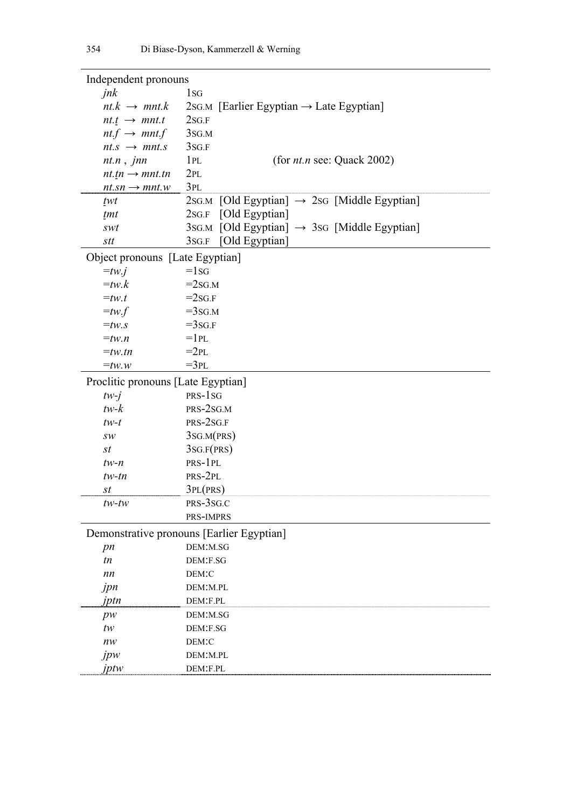| Independent pronouns               |                                                          |
|------------------------------------|----------------------------------------------------------|
| jnk                                | 1 <sub>sG</sub>                                          |
| $nt.k \rightarrow mnt.k$           | 2sG.M [Earlier Egyptian $\rightarrow$ Late Egyptian]     |
| $nt.t \rightarrow mnt.t$           | 2SG.F                                                    |
| $nt.f \rightarrow mnt.f$           | 3SG.M                                                    |
| $nt.s \rightarrow mnt.s$           | 3sg.F                                                    |
| $nt.n$ , $jnn$                     | (for $nt.n$ see: Quack 2002)<br>1PL                      |
| $ntin \rightarrow mntitn$          | 2PL                                                      |
| $nt.sn \rightarrow mnt.w$          | 3PL                                                      |
| twt                                | 2SG.M [Old Egyptian] $\rightarrow$ 2SG [Middle Egyptian] |
| tmt                                | 2sg.F [Old Egyptian]                                     |
| swt                                | 3sG.M [Old Egyptian] $\rightarrow$ 3sG [Middle Egyptian] |
| stt                                | [Old Egyptian]<br>3SG.F                                  |
| Object pronouns [Late Egyptian]    |                                                          |
| $=tw.i$                            | $=1$ SG                                                  |
| $=tw.k$                            | $=2sG.M$                                                 |
| $=$ tw.t                           | $=2sG.F$                                                 |
| $= tw.f$                           | $=3$ SG.M                                                |
| $=$ tw.s                           | $=3sG.F$                                                 |
| $=$ tw.n                           | $=1$ PL                                                  |
| $=$ tw.tn                          | $=2PL$                                                   |
| $=$ tw.w                           | $=3PL$                                                   |
| Proclitic pronouns [Late Egyptian] |                                                          |
| $tw-j$                             | PRS-1 <sub>SG</sub>                                      |
| $tw-k$                             | PRS-2SG.M                                                |
| $tw-t$                             | PRS-2SG.F                                                |
| $\mathit{SW}$                      | $3$ SG.M(PRS)                                            |
| st                                 | 3SG.F(PRS)                                               |
| $tw-n$                             | PRS-1PL                                                  |
| $tw$ -tn                           | PRS-2PL                                                  |
| st                                 | 3PL(PRS)                                                 |
| $tw$ -tw                           | PRS-3SG.C                                                |
|                                    | PRS-IMPRS                                                |
|                                    | Demonstrative pronouns [Earlier Egyptian]                |
| pn                                 | DEM:M.SG                                                 |
| tn                                 | DEM:F.SG                                                 |
| nn                                 | DEM:C                                                    |
| jpn                                | DEM:M.PL                                                 |
| jptn                               | DEM:F.PL                                                 |
| pw                                 | DEM:M.SG                                                 |
| tw                                 | DEM:F.SG                                                 |
| nw                                 | DEM:C                                                    |
| jpw                                | DEM:M.PL                                                 |
| iptw                               | DEM:F.PL                                                 |
|                                    |                                                          |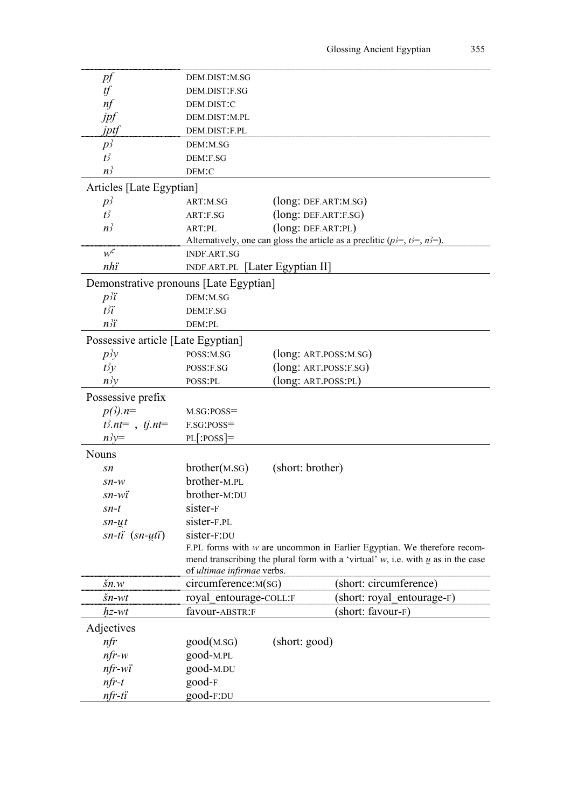| рf                                     | DEM.DIST:M.SG                   |                        |                                                                                                                                                                    |
|----------------------------------------|---------------------------------|------------------------|--------------------------------------------------------------------------------------------------------------------------------------------------------------------|
| tf                                     | DEM.DIST:F.SG                   |                        |                                                                                                                                                                    |
| nf                                     | DEM.DIST:C                      |                        |                                                                                                                                                                    |
| jpf                                    | DEM.DIST:M.PL                   |                        |                                                                                                                                                                    |
| jptf                                   | DEM.DIST:F.PL                   |                        |                                                                                                                                                                    |
| $p_2^2$                                | DEM:M.SG                        |                        |                                                                                                                                                                    |
| $t^2$                                  | DEM:F.SG                        |                        |                                                                                                                                                                    |
| n <sub>2</sub>                         | DEM:C                           |                        |                                                                                                                                                                    |
| Articles [Late Egyptian]               |                                 |                        |                                                                                                                                                                    |
| $p_2^2$                                | ART:M.SG                        | (long: DEF.ART:M.SG)   |                                                                                                                                                                    |
| $t^2$                                  | ART:F.SG                        | (long: DEF.ART:F.SG)   |                                                                                                                                                                    |
| n <sup>3</sup>                         | ART:PL                          | (long: DEF.ART:PL)     |                                                                                                                                                                    |
|                                        |                                 |                        | Alternatively, one can gloss the article as a preclitic $(p)=, t^2 =, n^2 =$ .                                                                                     |
| $w^c$                                  | <b>INDF.ART.SG</b>              |                        |                                                                                                                                                                    |
| nhi                                    | INDF.ART.PL [Later Egyptian II] |                        |                                                                                                                                                                    |
| Demonstrative pronouns [Late Egyptian] |                                 |                        |                                                                                                                                                                    |
| $p\ddot{i}$                            | DEM:M.SG                        |                        |                                                                                                                                                                    |
| $t \ddot{i}$                           | DEM:F.SG                        |                        |                                                                                                                                                                    |
| $n\ddot{i}$                            | DEM:PL                          |                        |                                                                                                                                                                    |
| Possessive article [Late Egyptian]     |                                 |                        |                                                                                                                                                                    |
| p <sub>2</sub> y                       | POSS:M.SG                       | (long: ART.POSS: M.SG) |                                                                                                                                                                    |
| $t\bar{z}y$                            | POSS:F.SG                       | (long: ART.POSS:F.SG)  |                                                                                                                                                                    |
| $n\overrightarrow{y}y$                 | POSS:PL                         | (long: ART.POSS:PL)    |                                                                                                                                                                    |
| Possessive prefix                      |                                 |                        |                                                                                                                                                                    |
| $p(\beta)$ .n=                         | $M.SG:POSS =$                   |                        |                                                                                                                                                                    |
| $t^3.nt =$ , $tj.nt =$                 | F.SG:POSS=                      |                        |                                                                                                                                                                    |
| $n\dot{v}$                             | $PL[$ :POSS]=                   |                        |                                                                                                                                                                    |
| <b>Nouns</b>                           |                                 |                        |                                                                                                                                                                    |
| sn                                     | brother(M.SG)                   | (short: brother)       |                                                                                                                                                                    |
| $\mathit{sn-w}$                        | brother-M.PL                    |                        |                                                                                                                                                                    |
| sn-wï                                  | brother-M:DU                    |                        |                                                                                                                                                                    |
| sn-t                                   | sister-F                        |                        |                                                                                                                                                                    |
| $sn-ut$                                | sister-F.PL                     |                        |                                                                                                                                                                    |
| $sn-ti$ $(sn-uti)$                     | sister-F:DU                     |                        |                                                                                                                                                                    |
|                                        | of ultimae infirmae verbs.      |                        | F.PL forms with $w$ are uncommon in Earlier Egyptian. We therefore recom-<br>mend transcribing the plural form with a 'virtual' $w$ , i.e. with $u$ as in the case |
| $\check{s}n.w$                         | circumference:M(sG)             |                        | (short: circumference)                                                                                                                                             |
| $\check{s}n$ -wt                       | royal entourage-COLL:F          |                        | (short: royal entourage-F)                                                                                                                                         |
| hz-wt                                  | favour-ABSTR:F                  |                        | (short: favour-F)                                                                                                                                                  |
| Adjectives                             |                                 |                        |                                                                                                                                                                    |
| nfr                                    | good(M.SG)                      | (short: good)          |                                                                                                                                                                    |
| $nfr-w$                                | good-M.PL                       |                        |                                                                                                                                                                    |
| $nfr-wi$                               | good-M.DU                       |                        |                                                                                                                                                                    |
| $nfr-t$                                | good-F                          |                        |                                                                                                                                                                    |
| $nfr-ti$                               | good-F:DU                       |                        |                                                                                                                                                                    |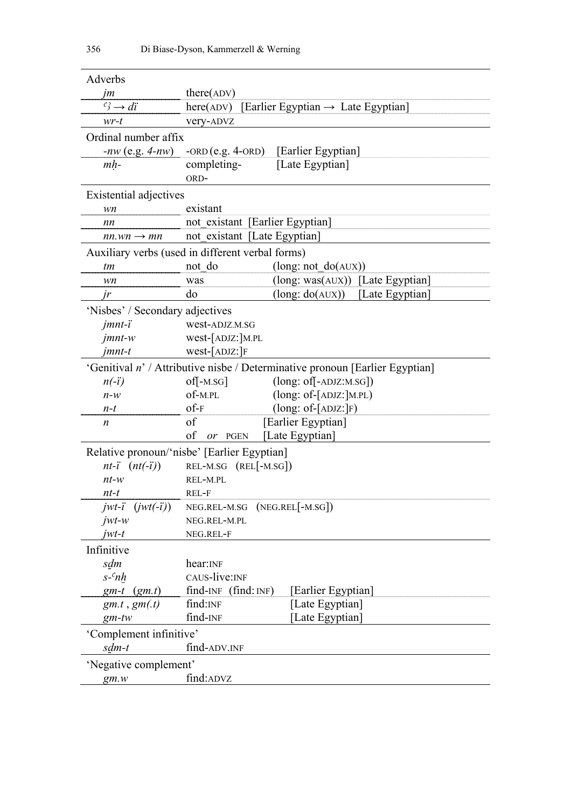| Adverbs                         |                                                                              |  |  |
|---------------------------------|------------------------------------------------------------------------------|--|--|
| jm                              | $there$ (ADV)                                                                |  |  |
| $f^2 \rightarrow di$            | here(ADV) [Earlier Egyptian $\rightarrow$ Late Egyptian]                     |  |  |
| $wr-t$                          | very-ADVZ                                                                    |  |  |
| Ordinal number affix            |                                                                              |  |  |
|                                 | $-nw$ (e.g. $4-nw$ ) -ORD (e.g. 4-ORD) [Earlier Egyptian]                    |  |  |
| $mh-$                           | [Late Egyptian]<br>completing-                                               |  |  |
|                                 | ORD-                                                                         |  |  |
| Existential adjectives          |                                                                              |  |  |
| wn                              | existant                                                                     |  |  |
| nn                              | not existant [Earlier Egyptian]                                              |  |  |
| $nn.wn \rightarrow mn$          | not existant [Late Egyptian]                                                 |  |  |
|                                 | Auxiliary verbs (used in different verbal forms)                             |  |  |
| tm                              | not do<br>(long: not do(AUX))                                                |  |  |
| wn                              | (long: was(AUX)) [Late Egyptian]<br>was                                      |  |  |
| jr                              | $(long: do(AUX))$ [Late Egyptian]<br>do                                      |  |  |
| 'Nisbes' / Secondary adjectives |                                                                              |  |  |
| $j$ <i>mnt</i> - $i$            | west-ADJZ.M.SG                                                               |  |  |
| $j$ <i>mnt</i> - $w$            | west-[ADJZ:]M.PL                                                             |  |  |
| $j$ <i>mnt</i> -t               | $west-IADJZ:$ F                                                              |  |  |
|                                 | 'Genitival n' / Attributive nisbe / Determinative pronoun [Earlier Egyptian] |  |  |
| $n(-i)$                         | $(long: of[-ADJZ:M.SG])$<br>$\text{of}$ -M.SG                                |  |  |
| $n-w$                           | $of-M.PL$<br>(long: of-[ADJZ:]M.PL)                                          |  |  |
| $n-t$                           | $of-F$<br>$(long: of -[ADJZ:]F)$                                             |  |  |
| n                               | of<br>[Earlier Egyptian]                                                     |  |  |
|                                 | [Late Egyptian]<br>of<br>or PGEN                                             |  |  |
|                                 | Relative pronoun/'nisbe' [Earlier Egyptian]                                  |  |  |
| $nt-i$ $(nt(-i))$               | REL-M.SG (REL[-M.SG])                                                        |  |  |
| $nt-w$                          | REL-M.PL                                                                     |  |  |
| nt-t                            | REL-F                                                                        |  |  |
| $jwt-i$ $(jwt(-i))$             | $NEG.REL-M.SG (NEG.REL -M.SG)$                                               |  |  |
| $jwt-w$                         | NEG.REL-M.PL                                                                 |  |  |
| $jwt-t$                         | NEG.REL-F                                                                    |  |  |
| Infinitive                      |                                                                              |  |  |
| sdm                             | hear: INF                                                                    |  |  |
| $s$ - $\alpha h$                | CAUS-live:INF                                                                |  |  |
| $gm-t$ $(gm.t)$                 | $find-NF$ (find: $INF$ )<br>[Earlier Egyptian]                               |  |  |
| $gm.t$ , $gm(t)$                | find: INF<br>[Late Egyptian]                                                 |  |  |
| $gm$ -tw                        | find-INF<br>[Late Egyptian]                                                  |  |  |
| 'Complement infinitive'         |                                                                              |  |  |
| sdm-t                           | find-ADV.INF                                                                 |  |  |
| 'Negative complement'           |                                                                              |  |  |
| gm.w                            | find: ADVZ                                                                   |  |  |
|                                 |                                                                              |  |  |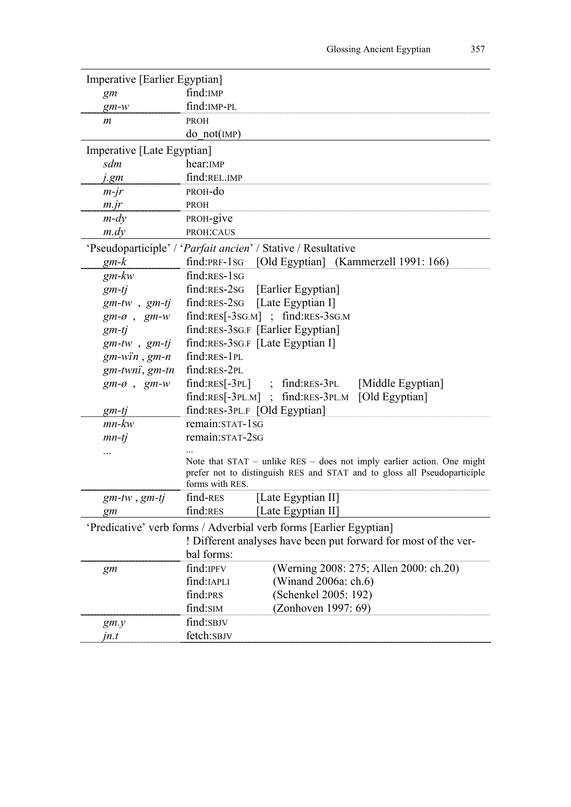| Imperative [Earlier Egyptian] |                                                                                             |
|-------------------------------|---------------------------------------------------------------------------------------------|
| gm                            | find: IMP                                                                                   |
| $gm-w$                        | find: IMP-PL                                                                                |
| m                             | <b>PROH</b>                                                                                 |
|                               | do not(MP)                                                                                  |
| Imperative [Late Egyptian]    |                                                                                             |
| sdm                           | hear: IMP                                                                                   |
| j.gm                          | find:REL.IMP                                                                                |
| $m-jr$                        | PROH-do                                                                                     |
| $m$ . jr                      | PROH                                                                                        |
| $m$ -dy                       | PROH-give                                                                                   |
| $m$ .dy                       | PROH:CAUS                                                                                   |
|                               | 'Pseudoparticiple' / ' <i>Parfait ancien</i> ' / Stative / Resultative                      |
| $gm-k$                        | find:PRF-1sG [Old Egyptian] (Kammerzell 1991: 166)                                          |
| gm-kw                         | $find:RES-1SG$                                                                              |
| $gm-tj$                       | find:RES-2sG [Earlier Egyptian]                                                             |
|                               | $gm-tw$ , $gm-tj$ find:RES-2sG [Late Egyptian I]                                            |
| $gm-\emptyset$ , $gm-w$       | $find:RES[-3SG.M]$ ; $find:RES-3SG.M$                                                       |
| $gm-tj$                       | find:RES-3SG.F [Earlier Egyptian]                                                           |
| $gm$ -tw, $gm$ -tj            | find:RES-3SG.F [Late Egyptian I]                                                            |
| $gm-win$ , $gm-n$             | find:RES-1PL                                                                                |
| gm-twnï, gm-tn                | find:RES-2PL                                                                                |
| $gm-\emptyset$ , $gm-w$       | find:RES[-3PL]; find:RES-3PL [Middle Egyptian]                                              |
|                               | find:RES[-3PL.M]; find:RES-3PL.M [Old Egyptian]                                             |
| gm-tj                         | find:RES-3PL.F [Old Egyptian]                                                               |
| $mn$ - $kw$                   | remain:STAT-1SG                                                                             |
| $mn-tj$                       | remain:STAT-2SG                                                                             |
|                               |                                                                                             |
|                               | Note that $STAT$ – unlike $RES$ – does not imply earlier action. One might                  |
|                               | prefer not to distinguish RES and STAT and to gloss all Pseudoparticiple<br>forms with RES. |
|                               | [Late Egyptian II]<br>$find$ -RES                                                           |
| gm-tw , gm-tj                 | find:RES<br>[Late Egyptian II]                                                              |
| gm                            |                                                                                             |
|                               | 'Predicative' verb forms / Adverbial verb forms [Earlier Egyptian]                          |
|                               | ! Different analyses have been put forward for most of the ver-                             |
|                               | bal forms:                                                                                  |
| gm                            | (Werning 2008: 275; Allen 2000: ch.20)<br>find: IPFV                                        |
|                               | find:IAPLI<br>(Winand 2006a: ch.6)                                                          |
|                               | find:PRS<br>(Schenkel 2005: 192)                                                            |
|                               | find:SIM<br>(Zonhoven 1997: 69)                                                             |
| gm.y                          | find:SBJV                                                                                   |
| jn.t                          | fetch:SBJV                                                                                  |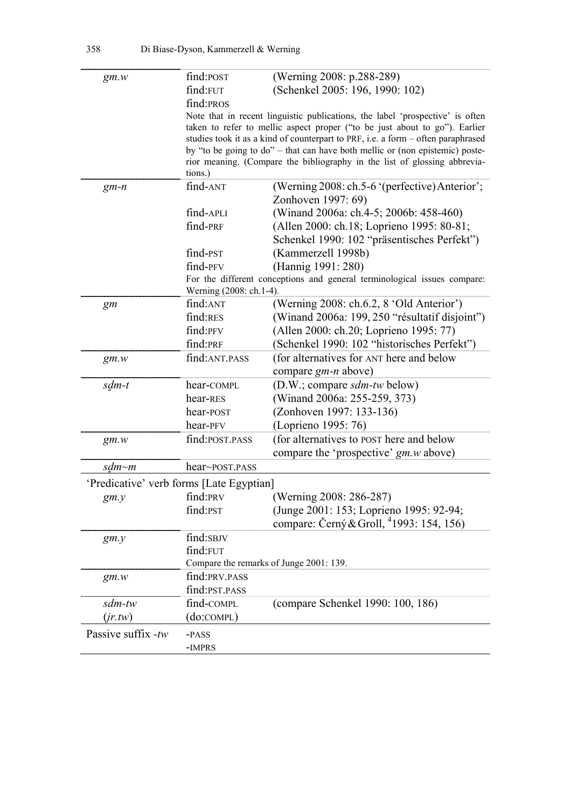| gm.w                                     | find: POST       | (Werning 2008: p.288-289)                                                        |  |  |
|------------------------------------------|------------------|----------------------------------------------------------------------------------|--|--|
|                                          | find:FUT         | (Schenkel 2005: 196, 1990: 102)                                                  |  |  |
|                                          | find:PROS        |                                                                                  |  |  |
|                                          |                  | Note that in recent linguistic publications, the label 'prospective' is often    |  |  |
|                                          |                  | taken to refer to mellic aspect proper ("to be just about to go"). Earlier       |  |  |
|                                          |                  | studies took it as a kind of counterpart to PRF, i.e. a form - often paraphrased |  |  |
|                                          |                  | by "to be going to do" – that can have both mellic or (non epistemic) poste-     |  |  |
|                                          |                  | rior meaning. (Compare the bibliography in the list of glossing abbrevia-        |  |  |
|                                          | tions.)          |                                                                                  |  |  |
| $gm-n$                                   | find-ANT         | (Werning 2008: ch.5-6 '(perfective) Anterior';                                   |  |  |
|                                          |                  | Zonhoven 1997: 69)                                                               |  |  |
|                                          | find-APLI        | (Winand 2006a: ch.4-5; 2006b: 458-460)                                           |  |  |
|                                          | find-PRF         | (Allen 2000: ch.18; Loprieno 1995: 80-81;                                        |  |  |
|                                          |                  | Schenkel 1990: 102 "präsentisches Perfekt")                                      |  |  |
|                                          | find-PST         | (Kammerzell 1998b)                                                               |  |  |
|                                          | find-PFV         | (Hannig 1991: 280)                                                               |  |  |
|                                          |                  | For the different conceptions and general terminological issues compare:         |  |  |
|                                          |                  | Werning (2008: ch.1-4).                                                          |  |  |
| gm                                       | find:ANT         | (Werning 2008: ch.6.2, 8 'Old Anterior')                                         |  |  |
|                                          | find:RES         | (Winand 2006a: 199, 250 "résultatif disjoint")                                   |  |  |
|                                          | find:PFV         | (Allen 2000: ch.20; Loprieno 1995: 77)                                           |  |  |
|                                          | find:PRF         | (Schenkel 1990: 102 "historisches Perfekt")                                      |  |  |
| gm.w                                     | find: ANT.PASS   | (for alternatives for ANT here and below                                         |  |  |
|                                          |                  | compare <i>gm-n</i> above)                                                       |  |  |
| sdm-t                                    | hear-COMPL       | (D.W.; compare <i>sdm-tw</i> below)                                              |  |  |
|                                          | hear-RES         | (Winand 2006a: 255-259, 373)                                                     |  |  |
|                                          | hear-POST        | (Zonhoven 1997: 133-136)                                                         |  |  |
|                                          | hear-PFV         | (Loprieno 1995: 76)                                                              |  |  |
| gm.w                                     | find: POST. PASS | (for alternatives to POST here and below                                         |  |  |
|                                          |                  | compare the 'prospective' gm.w above)                                            |  |  |
| sdm~m                                    | hear~post.pass   |                                                                                  |  |  |
| 'Predicative' verb forms [Late Egyptian] |                  |                                                                                  |  |  |
| gm.y                                     | find:PRV         | (Werning 2008: 286-287)                                                          |  |  |
|                                          | find:PST         | (Junge 2001: 153; Loprieno 1995: 92-94;                                          |  |  |
|                                          |                  | compare: Černý & Groll, <sup>4</sup> 1993: 154, 156)                             |  |  |
| gm.y                                     | find:SBJV        |                                                                                  |  |  |
|                                          | find:FUT         |                                                                                  |  |  |
|                                          |                  | Compare the remarks of Junge 2001: 139.                                          |  |  |
| gm.w                                     | find: PRV. PASS  |                                                                                  |  |  |
|                                          | find: PST. PASS  |                                                                                  |  |  |
| sdm-tw                                   | find-COMPL       | (compare Schenkel 1990: 100, 186)                                                |  |  |
| (jr.tw)                                  | (do:compl)       |                                                                                  |  |  |
| Passive suffix -tw                       | -PASS            |                                                                                  |  |  |
|                                          | -IMPRS           |                                                                                  |  |  |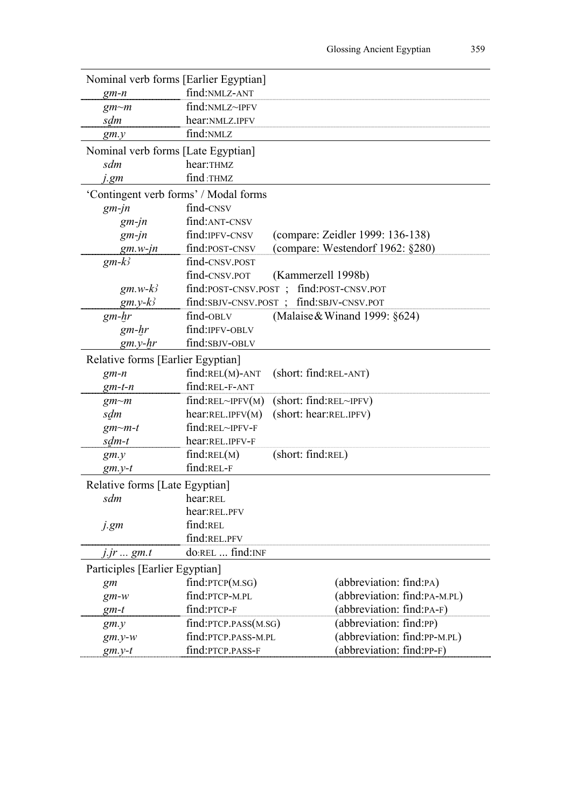| Nominal verb forms [Earlier Egyptian] |                        |                                           |
|---------------------------------------|------------------------|-------------------------------------------|
| $gm-n$                                | find:NMLZ-ANT          |                                           |
| gm~m                                  | find:NMLZ~IPFV         |                                           |
| sdm                                   | hear:NMLZ.IPFV         |                                           |
| gm.y                                  | find:NMLZ              |                                           |
| Nominal verb forms [Late Egyptian]    |                        |                                           |
| sdm                                   | hear:THMZ              |                                           |
| j.gm                                  | find:THMZ              |                                           |
| 'Contingent verb forms' / Modal forms |                        |                                           |
| $gm$ -jn                              | find-CNSV              |                                           |
| $gm$ -jn                              | find: ANT-CNSV         |                                           |
| $gm$ -jn                              | find: IPFV-CNSV        | (compare: Zeidler 1999: 136-138)          |
| $gm.w$ -jn                            | find: POST-CNSV        | (compare: Westendorf 1962: §280)          |
| $gm-k^2$                              | find-CNSV.POST         |                                           |
|                                       | find-CNSV.POT          | (Kammerzell 1998b)                        |
| $gm.w-k3$                             |                        | find: POST-CNSV.POST; find: POST-CNSV.POT |
| $gm.y-k^2$                            |                        | find:SBJV-CNSV.POST; find:SBJV-CNSV.POT   |
| $gm-hr$                               | find-OBLV              | (Malaise & Winand 1999: $\S 624$ )        |
| $gm-hr$                               | find: IPFV-OBLV        |                                           |
| $gm.y-hr$                             | find:SBJV-OBLV         |                                           |
| Relative forms [Earlier Egyptian]     |                        |                                           |
| $gm-n$                                | $find$ : $REL(M)$ -ANT | (short: find:REL-ANT)                     |
| $gm-t-n$                              | find:REL-F-ANT         |                                           |
| $gm \sim m$                           | find:REL~IPFV(M)       | (short: find:REL~IPFV)                    |
| sdm                                   | hear:REL.IPFV(M)       | (short: hear:REL.IPFV)                    |
| $gm$ - $m$ -t                         | find:REL~IPFV-F        |                                           |
| sdm-t                                 | hear:REL.IPFV-F        |                                           |
| gm.y                                  | find:REL(M)            | (short: find:REL)                         |
| $gm.y-t$                              | find:REL-F             |                                           |
| Relative forms [Late Egyptian]        |                        |                                           |
| sdm                                   | hear:REL               |                                           |
|                                       | hear:REL.PFV           |                                           |
| j.gm                                  | find:REL               |                                           |
|                                       | find:REL.PFV           |                                           |
| <i>j.jr</i> gm.t                      | do:REL  find:INF       |                                           |
| Participles [Earlier Egyptian]        |                        |                                           |
| gm                                    | find:PTCP(M.SG)        | (abbreviation: find:PA)                   |
| $gm-w$                                | find:PTCP-M.PL         | (abbreviation: find:PA-M.PL)              |
| $gm-t$                                | find:PTCP-F            | (abbreviation: find:PA-F)                 |
| gm.y                                  | find: PTCP. PASS(M.SG) | (abbreviation: find:PP)                   |
| $gm.y-w$                              | find:PTCP.PASS-M.PL    | (abbreviation: find:PP-M.PL)              |
| $gm.y-t$                              | find: PTCP. PASS-F     | (abbreviation: find:PP-F)                 |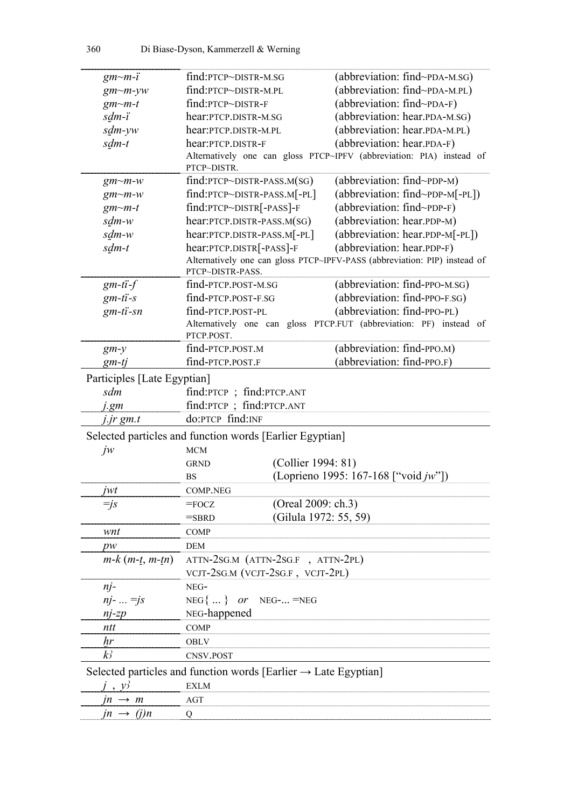| $gm$ - $m$ - $i$                         | find:PTCP~DISTR-M.SG                                                        | (abbreviation: find~PDA-M.SG)                                             |  |
|------------------------------------------|-----------------------------------------------------------------------------|---------------------------------------------------------------------------|--|
| $gm$ - $m$ - $yw$                        | find: PTCP~DISTR-M.PL                                                       | (abbreviation: find~PDA-M.PL)                                             |  |
| $gm$ - $m$ -t                            | find: PTCP~DISTR-F                                                          | (abbreviation: find~PDA-F)                                                |  |
| sdm-i                                    | hear: PTCP.DISTR-M.SG                                                       | (abbreviation: hear.PDA-M.SG)                                             |  |
| sdm-yw                                   | hear: PTCP.DISTR-M.PL                                                       | (abbreviation: hear.PDA-M.PL)                                             |  |
| sdm-t                                    | hear: PTCP. DISTR-F                                                         | (abbreviation: hear.ppA-F)                                                |  |
|                                          |                                                                             | Alternatively one can gloss PTCP~IPFV (abbreviation: PIA) instead of      |  |
|                                          | PTCP~DISTR.                                                                 |                                                                           |  |
| $gm$ - $m$ - $w$                         | $find:PTCP \sim DISTR$ -PASS.M(SG)                                          | (abbreviation: find~PDP-M)                                                |  |
| $gm$ - $m$ - $w$                         | find:PTCP~DISTR-PASS.M[-PL]                                                 | (abbreviation: find~PDP-M[-PL])                                           |  |
| $gm$ - $m$ -t                            | find:PTCP~DISTR[-PASS]-F                                                    | (abbreviation: find~PDP-F)                                                |  |
| sdm-w                                    | hear: PTCP.DISTR-PASS.M(SG)                                                 | (abbreviation: hear.PDP-M)                                                |  |
| sdm-w                                    | (abbreviation: hear.ppp-M[-PL])<br>hear: PTCP.DISTR-PASS.M[-PL]             |                                                                           |  |
| sdm-t                                    | hear: PTCP.DISTR[-PASS]-F                                                   | (abbreviation: hear.PDP-F)                                                |  |
|                                          |                                                                             | Alternatively one can gloss PTCP~IPFV-PASS (abbreviation: PIP) instead of |  |
|                                          | PTCP~DISTR-PASS.                                                            |                                                                           |  |
| $gm-ti-f$                                | find-PTCP.POST-M.SG                                                         | (abbreviation: find-PPO-M.SG)                                             |  |
| $gm-ti-s$                                | find-PTCP.POST-F.SG                                                         | (abbreviation: find-PPO-F.SG)                                             |  |
| $gm-ti$ -sn                              | find-PTCP.POST-PL                                                           | (abbreviation: find-PPO-PL)                                               |  |
|                                          |                                                                             | Alternatively one can gloss PTCP.FUT (abbreviation: PF) instead of        |  |
|                                          | PTCP.POST.                                                                  |                                                                           |  |
| $gm-y$                                   | find-PTCP.POST.M                                                            | (abbreviation: find-PPO.M)                                                |  |
| $gm-tj$                                  | find-PTCP.POST.F                                                            | (abbreviation: find-PPO.F)                                                |  |
| Participles [Late Egyptian]              |                                                                             |                                                                           |  |
| sdm                                      | find:PTCP; find:PTCP.ANT                                                    |                                                                           |  |
| j.gm                                     | find:PTCP; find:PTCP.ANT                                                    |                                                                           |  |
| j.jr gm.t                                | do:PTCP find:INF                                                            |                                                                           |  |
|                                          | Selected particles and function words [Earlier Egyptian]                    |                                                                           |  |
| jw                                       | <b>MCM</b>                                                                  |                                                                           |  |
|                                          | (Collier 1994: 81)<br><b>GRND</b>                                           |                                                                           |  |
|                                          | <b>BS</b>                                                                   | (Loprieno 1995: 167-168 ["void <i>jw</i> "])                              |  |
| jwt                                      | <b>COMP.NEG</b>                                                             |                                                                           |  |
| $=$ js                                   | (Oreal 2009: ch.3)<br>$=$ FOCZ                                              |                                                                           |  |
|                                          | (Gilula 1972: 55, 59)<br>$=$ SBRD                                           |                                                                           |  |
| wnt                                      | COMP                                                                        |                                                                           |  |
|                                          | DEM                                                                         |                                                                           |  |
| pw<br>$m-k$ ( <i>m</i> -t, <i>m</i> -tn) | ATTN-2SG.M (ATTN-2SG.F, ATTN-2PL)                                           |                                                                           |  |
|                                          | VCJT-2SG.M (VCJT-2SG.F, VCJT-2PL)                                           |                                                                           |  |
|                                          |                                                                             |                                                                           |  |
| $n$ j-                                   | NEG-                                                                        |                                                                           |  |
| $nj -  = js$                             | $NEG$ {  } or NEG- = NEG                                                    |                                                                           |  |
| $nj$ -z $p$                              | NEG-happened                                                                |                                                                           |  |
| ntt                                      | <b>COMP</b>                                                                 |                                                                           |  |
| hr                                       | OBLV                                                                        |                                                                           |  |
| $k_2$                                    | CNSV.POST                                                                   |                                                                           |  |
|                                          | Selected particles and function words [Earlier $\rightarrow$ Late Egyptian] |                                                                           |  |
| $\mathcal{V}$                            | <b>EXLM</b>                                                                 |                                                                           |  |
| $m \rightarrow m$                        | AGT                                                                         |                                                                           |  |
| $jn \rightarrow (j)n$                    | Q                                                                           |                                                                           |  |
|                                          |                                                                             |                                                                           |  |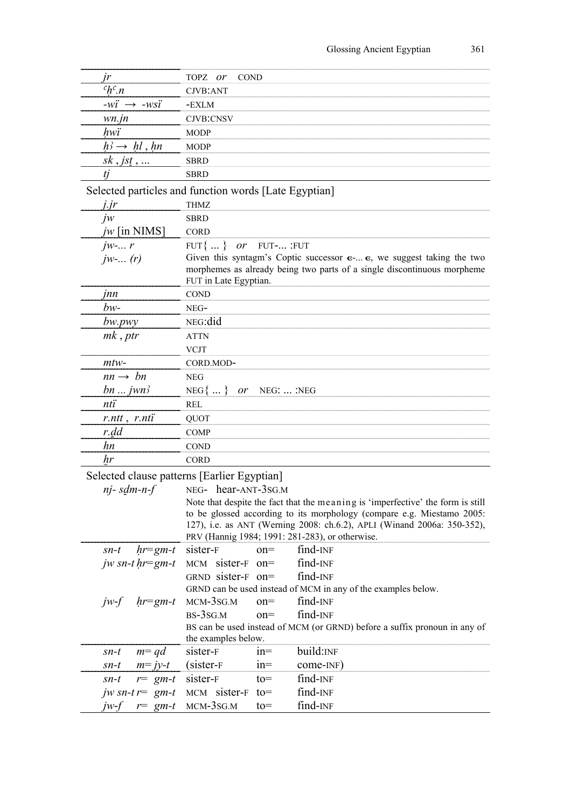| jr                                                    | TOPZ or<br><b>COND</b>                        |            |                                                                                         |
|-------------------------------------------------------|-----------------------------------------------|------------|-----------------------------------------------------------------------------------------|
| $chc_n$                                               | CJVB:ANT                                      |            |                                                                                         |
| $-wi \rightarrow -wsi$                                | -EXLM                                         |            |                                                                                         |
| $wn$ .jn                                              | CJVB:CNSV                                     |            |                                                                                         |
| hwi                                                   | <b>MODP</b>                                   |            |                                                                                         |
| $h^3 \rightarrow h l$ , hn                            | <b>MODP</b>                                   |            |                                                                                         |
| $sk$ , jst,                                           | <b>SBRD</b>                                   |            |                                                                                         |
| tj                                                    | <b>SBRD</b>                                   |            |                                                                                         |
| Selected particles and function words [Late Egyptian] |                                               |            |                                                                                         |
| j.jr                                                  | THMZ                                          |            |                                                                                         |
| $j_{W}$                                               | <b>SBRD</b>                                   |            |                                                                                         |
| jw [in NIMS]                                          | <b>CORD</b>                                   |            |                                                                                         |
| $j_{W}$ - $r$                                         | FUT{  }<br>or                                 | FUT- :FUT  |                                                                                         |
| $j_{W}$ - $(r)$                                       |                                               |            | Given this syntagm's Coptic successor $\epsilon$ $\epsilon$ , we suggest taking the two |
|                                                       |                                               |            | morphemes as already being two parts of a single discontinuous morpheme                 |
|                                                       | FUT in Late Egyptian.                         |            |                                                                                         |
| <i>Inn</i>                                            | <b>COND</b>                                   |            |                                                                                         |
| $bw-$                                                 | NEG-                                          |            |                                                                                         |
| bw.py                                                 | NEG:did                                       |            |                                                                                         |
| mk, ptr                                               | <b>ATTN</b>                                   |            |                                                                                         |
|                                                       | <b>VCJT</b>                                   |            |                                                                                         |
| $mtw-$                                                | CORD.MOD-                                     |            |                                                                                         |
| $nn \rightarrow bn$                                   | <b>NEG</b>                                    |            |                                                                                         |
| $bn \dots jwn^2$                                      | $NEG\{}\}$ or                                 | NEG:  :NEG |                                                                                         |
| nti                                                   | <b>REL</b>                                    |            |                                                                                         |
| $r$ .ntt, $r$ .nti                                    | QUOT                                          |            |                                                                                         |
| r.dd                                                  | <b>COMP</b>                                   |            |                                                                                         |
| hn                                                    | <b>COND</b>                                   |            |                                                                                         |
| hr                                                    | <b>CORD</b>                                   |            |                                                                                         |
| Selected clause patterns [Earlier Egyptian]           |                                               |            |                                                                                         |
| $n$ <i>j</i> -sdm-n-f                                 | NEG- hear-ANT-3SG.M                           |            |                                                                                         |
|                                                       |                                               |            | Note that despite the fact that the meaning is 'imperfective' the form is still         |
|                                                       |                                               |            | to be glossed according to its morphology (compare e.g. Miestamo 2005:                  |
|                                                       |                                               |            | 127), i.e. as ANT (Werning 2008: ch.6.2), APLI (Winand 2006a: 350-352),                 |
|                                                       |                                               |            | PRV (Hannig 1984; 1991: 281-283), or otherwise.<br>find-INF                             |
| $hr=gm-t$<br>$sn-t$                                   | sister-F                                      | $on =$     | find-INF                                                                                |
| jw sn-t $hr=gm-t$                                     | $MCM$ sister- $F$ on=<br>GRND sister- $F$ on= |            | find-INF                                                                                |
|                                                       |                                               |            | GRND can be used instead of MCM in any of the examples below.                           |
| $hr=gm-t$<br>$jw-f$                                   | $MCM-3SG.M$                                   | $on =$     | find-INF                                                                                |
|                                                       | $BS-3SG.M$                                    | $on =$     | find-INF                                                                                |
|                                                       |                                               |            | BS can be used instead of MCM (or GRND) before a suffix pronoun in any of               |
|                                                       | the examples below.                           |            |                                                                                         |
| $m = qd$<br>$sn-t$                                    | sister-F                                      | $1n =$     | build:INF                                                                               |
| $m= jy-t$<br>$sn-t$                                   | $(sister-F)$                                  | $n =$      | come-INF)                                                                               |
| $r = gm-t$<br>$sn-t$                                  | sister-F                                      | $to=$      | find-INF                                                                                |
| jw sn-t $r = gm-t$                                    | MCM sister-F                                  | $to=$      | find-INF                                                                                |
| $r = gm-t$<br>iw-f                                    | $MCM-3SG.M$                                   | $to=$      | find-INF                                                                                |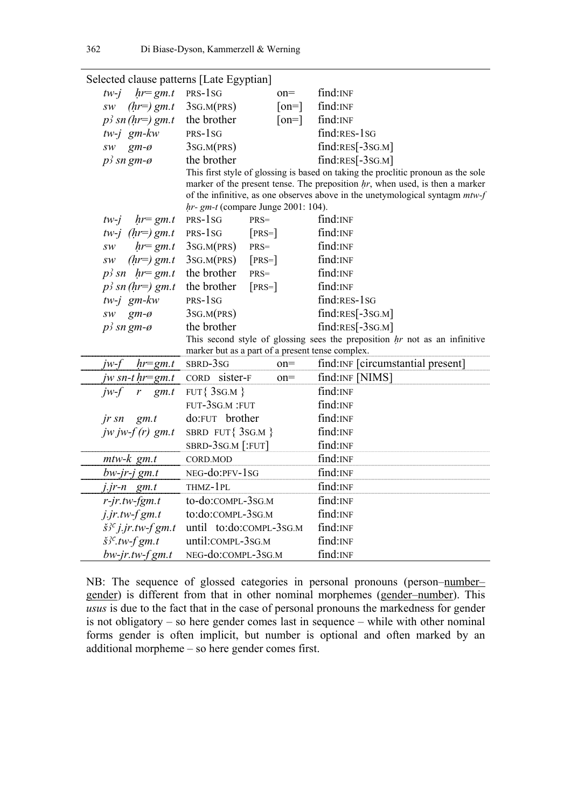| Selected clause patterns [Late Egyptian]     |                                                               |                                                                                                    |
|----------------------------------------------|---------------------------------------------------------------|----------------------------------------------------------------------------------------------------|
| $hr = gm.t$<br>$tw-i$                        | PRS-1 <sub>SG</sub><br>$on =$                                 | find: INF                                                                                          |
| $(hr=)$ gm.t<br>SW                           | 3SG.M(PRS)<br>$\lceil$ on= $\rceil$                           | find: INF                                                                                          |
| $p^2$ sn (hr=) gm.t                          | the brother<br>$\lceil$ on= $\rceil$                          | find: INF                                                                                          |
| $tw-j$ gm- $kw$                              | PRS-1 <sub>SG</sub>                                           | $find:RES-1SG$                                                                                     |
| $gm-\emptyset$<br>$\mathit{SW}$              | 3SG.M(PRS)                                                    | $find:RES[-3SG.M]$                                                                                 |
| $p^2$ sn gm-ø                                | the brother                                                   | $find:RES[-3SG.M]$                                                                                 |
|                                              |                                                               | This first style of glossing is based on taking the proclitic pronoun as the sole                  |
|                                              |                                                               | marker of the present tense. The preposition $hr$ , when used, is then a marker                    |
|                                              |                                                               | of the infinitive, as one observes above in the unetymological syntagm $mtw-f$                     |
|                                              | $hr- gm-t$ (compare Junge 2001: 104).<br>$PRS-1SG$<br>$PRS =$ | $find:$ INF                                                                                        |
| $hr = gm.t$<br>$tw-j$<br>tw-j $(hr=)$ gm.t   | PRS-1SG<br>$[PRS=]$                                           | find: INF                                                                                          |
| $hr = gm.t$<br>SW                            | PRS=                                                          | find: INF                                                                                          |
|                                              | 3SG.M(PRS)<br>3SG.M(PRS)                                      | find: INF                                                                                          |
| $(hr=)$ gm.t<br>SW                           | $[PRS=]$<br>the brother                                       | find: INF                                                                                          |
| $p^3$ sn $hr=gm.t$                           | PRS=<br>the brother                                           | find: INF                                                                                          |
| $p^3$ sn (hr=) gm.t                          | $[PRS=]$                                                      | find:RES-1SG                                                                                       |
| $tw-j$ gm- $kw$                              | PRS-1 <sub>SG</sub>                                           |                                                                                                    |
| $gm-\emptyset$<br>SW                         | 3SG.M(PRS)                                                    | $find:RES[-3SG.M]$                                                                                 |
| $p^2$ sn gm-ø                                | the brother                                                   | $find:RES[-3SG.M]$<br>This second style of glossing sees the preposition $hr$ not as an infinitive |
|                                              | marker but as a part of a present tense complex.              |                                                                                                    |
| $iw-f$<br>$hr=gm.t$                          | SBRD-3SG<br>$on =$                                            | find: INF [circumstantial present]                                                                 |
| jw sn-t $hr=gm.t$                            | CORD sister-F<br>$on =$                                       | find: INF [NIMS]                                                                                   |
| $jw-f$<br>gm.t<br>r                          | FUT{ $3SG.M$ }                                                | find: INF                                                                                          |
|                                              | FUT-3SG.M :FUT                                                | find: INF                                                                                          |
| jr sn<br>gm.t                                | do:FUT brother                                                | find: INF                                                                                          |
| jw jw-f $(r)$ gm.t                           | SBRD FUT $\{$ 3sG.M $\}$                                      | find: INF                                                                                          |
|                                              | SBRD-3SG.M [:FUT]                                             | find: INF                                                                                          |
| $mtw-k$ gm.t                                 | CORD.MOD                                                      | find: INF                                                                                          |
| $bw$ -jr-j gm.t                              | NEG-do:PFV-1SG                                                | find: INF                                                                                          |
| $j$ . $jr-n$ $gm.t$                          | THMZ-1PL                                                      | find: INF                                                                                          |
| $r$ -jr.tw-fgm.t                             | to-do:COMPL-3SG.M                                             | find: INF                                                                                          |
| $j.jr.tw-fgm.t$                              | to:do:COMPL-3SG.M                                             | find: INF                                                                                          |
| $\check{S}^2$ <sup>c</sup> j.jr.tw-f gm.t    | until to:do:COMPL-3SG.M                                       | find: INF                                                                                          |
| $\check{S}^{\text{2C}}$ .tw-f gm.t           | until:COMPL-3SG.M                                             | find:INF                                                                                           |
| $bw\text{-}jr\text{-}tw\text{-}fgm\text{-}t$ | NEG-do:COMPL-3SG.M                                            | find: INF                                                                                          |

Selected clause patterns [Late Egyptian]

NB: The sequence of glossed categories in personal pronouns (person–number– gender) is different from that in other nominal morphemes (gender–number). This *usus* is due to the fact that in the case of personal pronouns the markedness for gender is not obligatory – so here gender comes last in sequence – while with other nominal forms gender is often implicit, but number is optional and often marked by an additional morpheme – so here gender comes first.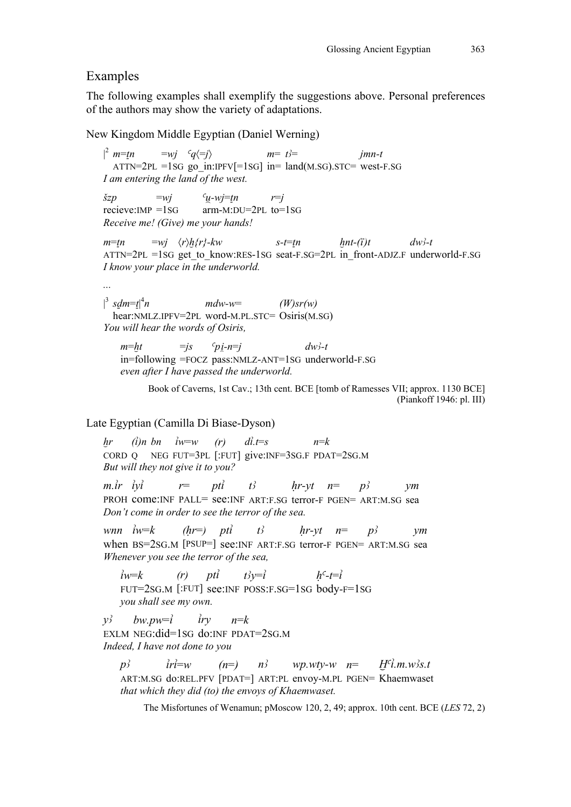#### Examples

|

|

The following examples shall exemplify the suggestions above. Personal preferences of the authors may show the variety of adaptations.

New Kingdom Middle Egyptian (Daniel Werning)

 $\vert^2$  m=tn  $= wj \quad {}^{c}q \langle =j \rangle$   $m= t=$   $j=$   $j=$   $j=$  $ATTN=2PL =1SG$  go in:IPFV $[=1SG]$  in= land $(M.SG)$ .STC= west-F.SG *I am entering the land of the west.*   $\check{S}zp$   $=$ *wj*  $\check{c}u$ -*wj*=*tn*  $r=i$ recieve:IMP =1SG arm-M:DU=2PL to=1SG *Receive me! (Give) me your hands!*   $m=\underline{tn}$  =*wj*  $\langle r \rangle \underline{h} \{r\}$ - $kw$  s-t= $\underline{tn}$   $\underline{h}nt$ - $(\overline{i})t$   $dw$ <sup>2</sup>- $t$  $ATTN=2PL =1SG$  get to know:RES-1SG seat-F.SG=2PL in front-ADJZ.F underworld-F.SG *I know your place in the underworld. ...*  <sup>3</sup>  $sdm=t$ <sup>4</sup> *n mdw-w*= *(W)sr(w)*  hear:NMLZ.IPFV=2PL word-M.PL.STC= Osiris(M.SG) *You will hear the words of Osiris,*   $m=h$ t  $=$ *js*  $c_{pi-n}=$ *j dw3-t* 

in=following =FOCZ pass:NMLZ-ANT=1SG underworld-F.SG *even after I have passed the underworld.* 

Book of Caverns, 1st Cav.; 13th cent. BCE [tomb of Ramesses VII; approx. 1130 BCE] (Piankoff 1946: pl. III)

#### Late Egyptian (Camilla Di Biase-Dyson)

 $h$ *r* (*i*)*n bn*  $i$ *w*=*w* (*r*) *di*.*t*=*s n*=*k* CORD Q NEG FUT=3PL [:FUT] give:INF=3SG.F PDAT=2SG.M *But will they not give it to you?* 

 $m \cdot i r \cdot i y i$   $r = pti$  t<sub>3</sub>  $hr$ -yt  $n = p3$  ym PROH come:INF PALL= see:INF ART:F.SG terror-F PGEN= ART:M.SG sea *Don't come in order to see the terror of the sea.* 

*wnn*  $\hat{i}w=k$  (hr=) pt $\hat{i}$  t<sub>2</sub> hr-yt n= p<sub>2</sub> ym when BS=2SG.M [PSUP=] see:INF ART:F.SG terror-F PGEN= ART:M.SG sea *Whenever you see the terror of the sea,* 

 $i w=k$  (*r*) pti  $t3y=i$   $h^c-t=i$ FUT=2SG.M [:FUT] see:INF POSS:F.SG=1SG body-F=1SG *you shall see my own.* 

 $y^3$  *bw.pw*=*i iry*  $n=$ *k* EXLM NEG:did=1SG do:INF PDAT=2SG.M *Indeed, I have not done to you* 

 $p_2^3$  iri=w (n=)  $n_2^3$  wp.wty-w n=  $H^c l.m.w_2^2 s.t$ ART:M.SG do:REL.PFV [PDAT=] ART:PL envoy-M.PL PGEN= Khaemwaset *that which they did (to) the envoys of Khaemwaset.* 

The Misfortunes of Wenamun; pMoscow 120, 2, 49; approx. 10th cent. BCE (*LES* 72, 2)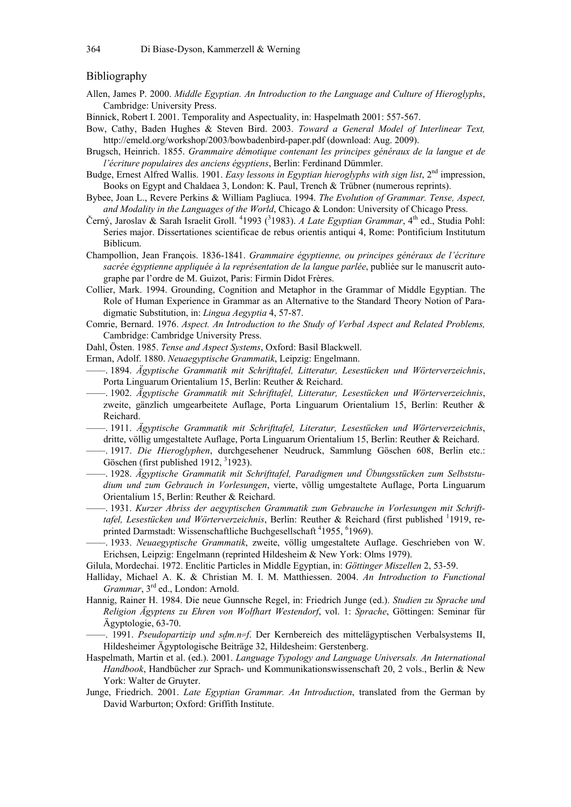#### Bibliography

- Allen, James P. 2000. *Middle Egyptian. An Introduction to the Language and Culture of Hieroglyphs*, Cambridge: University Press.
- Binnick, Robert I. 2001. Temporality and Aspectuality, in: Haspelmath 2001: 557-567.
- Bow, Cathy, Baden Hughes & Steven Bird. 2003. *Toward a General Model of Interlinear Text,*  http://emeld.org/workshop/2003/bowbadenbird-paper.pdf (download: Aug. 2009).
- Brugsch, Heinrich. 1855. *Grammaire démotique contenant les principes généraux de la langue et de l'écriture populaires des anciens égyptiens*, Berlin: Ferdinand Dümmler.
- Budge, Ernest Alfred Wallis. 1901. *Easy lessons in Egyptian hieroglyphs with sign list*, 2nd impression, Books on Egypt and Chaldaea 3, London: K. Paul, Trench & Trübner (numerous reprints).
- Bybee, Joan L., Revere Perkins & William Pagliuca. 1994. *The Evolution of Grammar. Tense, Aspect, and Modality in the Languages of the World*, Chicago & London: University of Chicago Press.
- Černý, Jaroslav & Sarah Israelit Groll. <sup>4</sup>1993 (<sup>3</sup>1983). *A Late Egyptian Grammar*, 4<sup>th</sup> ed., Studia Pohl: Series major. Dissertationes scientificae de rebus orientis antiqui 4, Rome: Pontificium Institutum Biblicum.
- Champollion, Jean François. 1836-1841. *Grammaire égyptienne, ou principes généraux de l'écriture sacrée égyptienne appliquée à la représentation de la langue parlée*, publiée sur le manuscrit autographe par l'ordre de M. Guizot, Paris: Firmin Didot Frères.
- Collier, Mark. 1994. Grounding, Cognition and Metaphor in the Grammar of Middle Egyptian. The Role of Human Experience in Grammar as an Alternative to the Standard Theory Notion of Paradigmatic Substitution, in: *Lingua Aegyptia* 4, 57-87.
- Comrie, Bernard. 1976. *Aspect. An Introduction to the Study of Verbal Aspect and Related Problems,* Cambridge: Cambridge University Press.
- Dahl, Östen. 1985. *Tense and Aspect Systems*, Oxford: Basil Blackwell.
- Erman, Adolf. 1880. *Neuaegyptische Grammatik*, Leipzig: Engelmann.
- ––––. 1894. *Ägyptische Grammatik mit Schrifttafel, Litteratur, Lesestücken und Wörterverzeichnis*, Porta Linguarum Orientalium 15, Berlin: Reuther & Reichard.
- ––––. 1902. *Ägyptische Grammatik mit Schrifttafel, Litteratur, Lesestücken und Wörterverzeichnis*, zweite, gänzlich umgearbeitete Auflage, Porta Linguarum Orientalium 15, Berlin: Reuther & Reichard.
- ––––. 1911. *Ägyptische Grammatik mit Schrifttafel, Literatur, Lesestücken und Wörterverzeichnis*, dritte, völlig umgestaltete Auflage, Porta Linguarum Orientalium 15, Berlin: Reuther & Reichard.
- ––––. 1917. *Die Hieroglyphen*, durchgesehener Neudruck, Sammlung Göschen 608, Berlin etc.: Göschen (first published 1912,  $3$ 1923).
- ––––. 1928. *Ägyptische Grammatik mit Schrifttafel, Paradigmen und Übungsstücken zum Selbststudium und zum Gebrauch in Vorlesungen*, vierte, völlig umgestaltete Auflage, Porta Linguarum Orientalium 15, Berlin: Reuther & Reichard.
- ––––. 1931. *Kurzer Abriss der aegyptischen Grammatik zum Gebrauche in Vorlesungen mit Schrift*tafel, Lesestücken und Wörterverzeichnis, Berlin: Reuther & Reichard (first published <sup>1</sup>1919, reprinted Darmstadt: Wissenschaftliche Buchgesellschaft <sup>4</sup>1955, <sup>6</sup>1969).
- ––––. 1933. *Neuaegyptische Grammatik*, zweite, völlig umgestaltete Auflage. Geschrieben von W. Erichsen, Leipzig: Engelmann (reprinted Hildesheim & New York: Olms 1979).
- Gilula, Mordechai. 1972. Enclitic Particles in Middle Egyptian, in: *Göttinger Miszellen* 2, 53-59.
- Halliday, Michael A. K. & Christian M. I. M. Matthiessen. 2004. *An Introduction to Functional Grammar*, 3<sup>rd</sup> ed., London: Arnold.
- Hannig, Rainer H. 1984. Die neue Gunnsche Regel, in: Friedrich Junge (ed.). *Studien zu Sprache und Religion Ägyptens zu Ehren von Wolfhart Westendorf*, vol. 1: *Sprache*, Göttingen: Seminar für Ägyptologie, 63-70.
- –– 1991. *Pseudopartizip und sdm.n=f.* Der Kernbereich des mittelägyptischen Verbalsystems II, Hildesheimer Ägyptologische Beiträge 32, Hildesheim: Gerstenberg.
- Haspelmath, Martin et al. (ed.). 2001. *Language Typology and Language Universals. An International Handbook*, Handbücher zur Sprach- und Kommunikationswissenschaft 20, 2 vols., Berlin & New York: Walter de Gruyter.
- Junge, Friedrich. 2001. *Late Egyptian Grammar. An Introduction*, translated from the German by David Warburton; Oxford: Griffith Institute.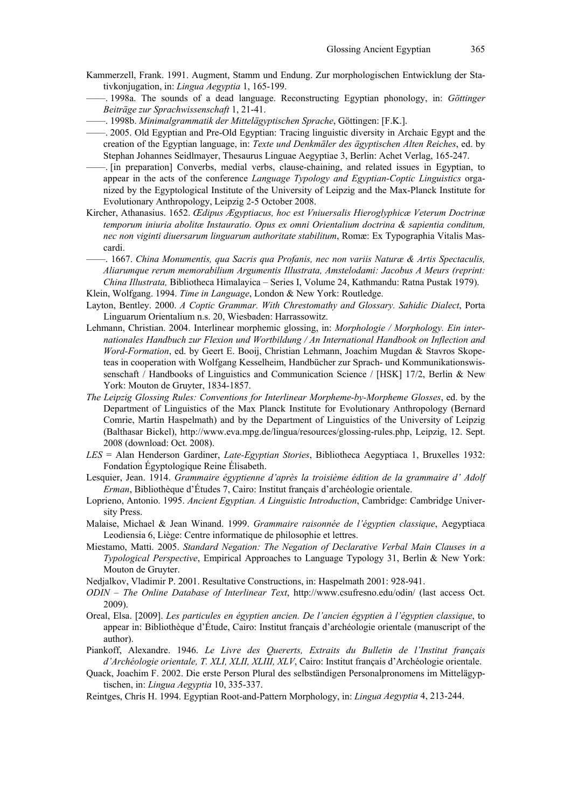- Kammerzell, Frank. 1991. Augment, Stamm und Endung. Zur morphologischen Entwicklung der Stativkonjugation, in: *Lingua Aegyptia* 1, 165-199.
- ––––. 1998a. The sounds of a dead language. Reconstructing Egyptian phonology, in: *Göttinger Beiträge zur Sprachwissenschaft* 1, 21-41.
- ––––. 1998b. *Minimalgrammatik der Mittelägyptischen Sprache*, Göttingen: [F.K.].
- ––––. 2005. Old Egyptian and Pre-Old Egyptian: Tracing linguistic diversity in Archaic Egypt and the creation of the Egyptian language, in: *Texte und Denkmäler des ägyptischen Alten Reiches*, ed. by Stephan Johannes Seidlmayer, Thesaurus Linguae Aegyptiae 3, Berlin: Achet Verlag, 165-247.
- ––––. [in preparation] Converbs, medial verbs, clause-chaining, and related issues in Egyptian, to appear in the acts of the conference *Language Typology and Egyptian-Coptic Linguistics* organized by the Egyptological Institute of the University of Leipzig and the Max-Planck Institute for Evolutionary Anthropology, Leipzig 2-5 October 2008.
- Kircher, Athanasius. 1652. *Œdipus Ægyptiacus, hoc est Vniuersalis Hieroglyphicæ Veterum Doctrinæ temporum iniuria abolitæ Instauratio. Opus ex omni Orientalium doctrina & sapientia conditum, nec non viginti diuersarum linguarum authoritate stabilitum*, Romæ: Ex Typographia Vitalis Mascardi.
- ––––. 1667. *China Monumentis, qua Sacris qua Profanis, nec non variis Naturæ & Artis Spectaculis, Aliarumque rerum memorabilium Argumentis Illustrata, Amstelodami: Jacobus A Meurs (reprint: China Illustrata,* Bibliotheca Himalayica – Series I, Volume 24, Kathmandu: Ratna Pustak 1979).
- Klein, Wolfgang. 1994. *Time in Language*, London & New York: Routledge.
- Layton, Bentley. 2000. *A Coptic Grammar. With Chrestomathy and Glossary. Sahidic Dialect*, Porta Linguarum Orientalium n.s. 20, Wiesbaden: Harrassowitz.
- Lehmann, Christian. 2004. Interlinear morphemic glossing, in: *Morphologie / Morphology. Ein internationales Handbuch zur Flexion und Wortbildung / An International Handbook on Inflection and Word-Formation*, ed. by Geert E. Booij, Christian Lehmann, Joachim Mugdan & Stavros Skopeteas in cooperation with Wolfgang Kesselheim, Handbücher zur Sprach- und Kommunikationswissenschaft / Handbooks of Linguistics and Communication Science / [HSK] 17/2, Berlin & New York: Mouton de Gruyter, 1834-1857.
- *The Leipzig Glossing Rules: Conventions for Interlinear Morpheme-by-Morpheme Glosses*, ed. by the Department of Linguistics of the Max Planck Institute for Evolutionary Anthropology (Bernard Comrie, Martin Haspelmath) and by the Department of Linguistics of the University of Leipzig (Balthasar Bickel), http://www.eva.mpg.de/lingua/resources/glossing-rules.php, Leipzig, 12. Sept. 2008 (download: Oct. 2008).
- *LES* = Alan Henderson Gardiner, *Late-Egyptian Stories*, Bibliotheca Aegyptiaca 1, Bruxelles 1932: Fondation Égyptologique Reine Élisabeth.
- Lesquier, Jean. 1914. *Grammaire égyptienne d'après la troisième édition de la grammaire d' Adolf Erman*, Bibliothèque d'Études 7, Cairo: Institut français d'archéologie orientale.
- Loprieno, Antonio. 1995. *Ancient Egyptian. A Linguistic Introduction*, Cambridge: Cambridge University Press.
- Malaise, Michael & Jean Winand. 1999. *Grammaire raisonnée de l'égyptien classique*, Aegyptiaca Leodiensia 6, Liège: Centre informatique de philosophie et lettres.
- Miestamo, Matti. 2005. *Standard Negation: The Negation of Declarative Verbal Main Clauses in a Typological Perspective*, Empirical Approaches to Language Typology 31, Berlin & New York: Mouton de Gruyter.
- Nedjalkov, Vladimir P. 2001. Resultative Constructions, in: Haspelmath 2001: 928-941.
- *ODIN The Online Database of Interlinear Text*, http://www.csufresno.edu/odin/ (last access Oct. 2009).
- Oreal, Elsa. [2009]. *Les particules en égyptien ancien. De l'ancien égyptien à l'égyptien classique*, to appear in: Bibliothèque d'Étude, Cairo: Institut français d'archéologie orientale (manuscript of the author).
- Piankoff, Alexandre. 1946. *Le Livre des Quererts, Extraits du Bulletin de l'Institut français d'Archéologie orientale, T. XLI, XLII, XLIII, XLV*, Cairo: Institut français d'Archéologie orientale.
- Quack, Joachim F. 2002. Die erste Person Plural des selbständigen Personalpronomens im Mittelägyptischen, in: *Lingua Aegyptia* 10, 335-337.
- Reintges, Chris H. 1994. Egyptian Root-and-Pattern Morphology, in: *Lingua Aegyptia* 4, 213-244.